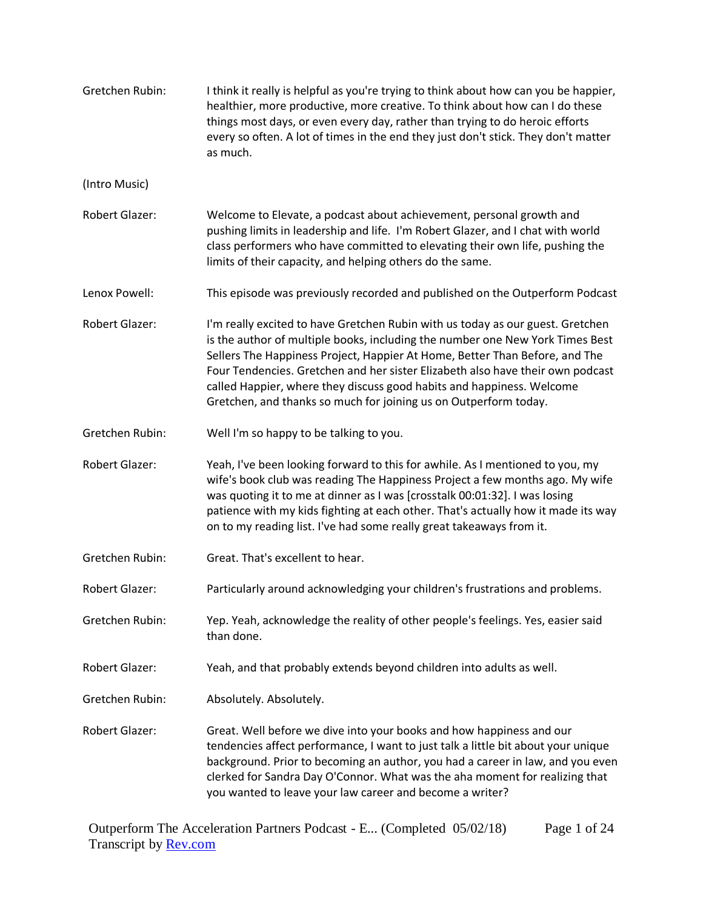| Gretchen Rubin:       | I think it really is helpful as you're trying to think about how can you be happier,<br>healthier, more productive, more creative. To think about how can I do these<br>things most days, or even every day, rather than trying to do heroic efforts<br>every so often. A lot of times in the end they just don't stick. They don't matter<br>as much.                                                                                                                        |
|-----------------------|-------------------------------------------------------------------------------------------------------------------------------------------------------------------------------------------------------------------------------------------------------------------------------------------------------------------------------------------------------------------------------------------------------------------------------------------------------------------------------|
| (Intro Music)         |                                                                                                                                                                                                                                                                                                                                                                                                                                                                               |
| Robert Glazer:        | Welcome to Elevate, a podcast about achievement, personal growth and<br>pushing limits in leadership and life. I'm Robert Glazer, and I chat with world<br>class performers who have committed to elevating their own life, pushing the<br>limits of their capacity, and helping others do the same.                                                                                                                                                                          |
| Lenox Powell:         | This episode was previously recorded and published on the Outperform Podcast                                                                                                                                                                                                                                                                                                                                                                                                  |
| <b>Robert Glazer:</b> | I'm really excited to have Gretchen Rubin with us today as our guest. Gretchen<br>is the author of multiple books, including the number one New York Times Best<br>Sellers The Happiness Project, Happier At Home, Better Than Before, and The<br>Four Tendencies. Gretchen and her sister Elizabeth also have their own podcast<br>called Happier, where they discuss good habits and happiness. Welcome<br>Gretchen, and thanks so much for joining us on Outperform today. |
| Gretchen Rubin:       | Well I'm so happy to be talking to you.                                                                                                                                                                                                                                                                                                                                                                                                                                       |
| <b>Robert Glazer:</b> | Yeah, I've been looking forward to this for awhile. As I mentioned to you, my<br>wife's book club was reading The Happiness Project a few months ago. My wife<br>was quoting it to me at dinner as I was [crosstalk 00:01:32]. I was losing<br>patience with my kids fighting at each other. That's actually how it made its way<br>on to my reading list. I've had some really great takeaways from it.                                                                      |
| Gretchen Rubin:       | Great. That's excellent to hear.                                                                                                                                                                                                                                                                                                                                                                                                                                              |
| <b>Robert Glazer:</b> | Particularly around acknowledging your children's frustrations and problems.                                                                                                                                                                                                                                                                                                                                                                                                  |
| Gretchen Rubin:       | Yep. Yeah, acknowledge the reality of other people's feelings. Yes, easier said<br>than done.                                                                                                                                                                                                                                                                                                                                                                                 |
| <b>Robert Glazer:</b> | Yeah, and that probably extends beyond children into adults as well.                                                                                                                                                                                                                                                                                                                                                                                                          |
| Gretchen Rubin:       | Absolutely. Absolutely.                                                                                                                                                                                                                                                                                                                                                                                                                                                       |
| Robert Glazer:        | Great. Well before we dive into your books and how happiness and our<br>tendencies affect performance, I want to just talk a little bit about your unique<br>background. Prior to becoming an author, you had a career in law, and you even<br>clerked for Sandra Day O'Connor. What was the aha moment for realizing that<br>you wanted to leave your law career and become a writer?                                                                                        |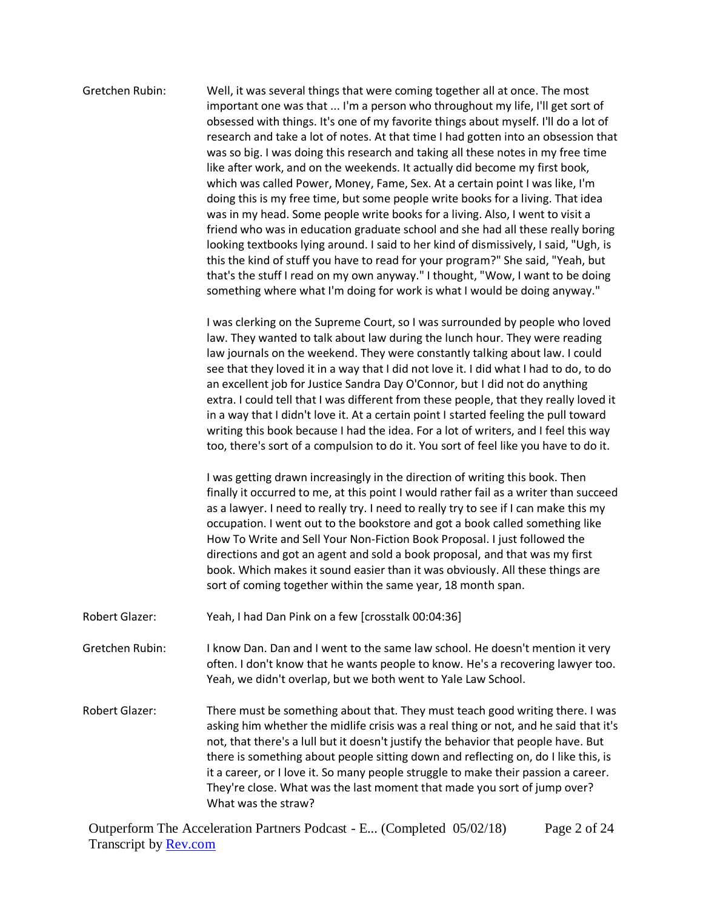| Gretchen Rubin:       | Well, it was several things that were coming together all at once. The most<br>important one was that  I'm a person who throughout my life, I'll get sort of<br>obsessed with things. It's one of my favorite things about myself. I'll do a lot of<br>research and take a lot of notes. At that time I had gotten into an obsession that<br>was so big. I was doing this research and taking all these notes in my free time<br>like after work, and on the weekends. It actually did become my first book,<br>which was called Power, Money, Fame, Sex. At a certain point I was like, I'm<br>doing this is my free time, but some people write books for a living. That idea<br>was in my head. Some people write books for a living. Also, I went to visit a<br>friend who was in education graduate school and she had all these really boring<br>looking textbooks lying around. I said to her kind of dismissively, I said, "Ugh, is<br>this the kind of stuff you have to read for your program?" She said, "Yeah, but<br>that's the stuff I read on my own anyway." I thought, "Wow, I want to be doing<br>something where what I'm doing for work is what I would be doing anyway." |
|-----------------------|-----------------------------------------------------------------------------------------------------------------------------------------------------------------------------------------------------------------------------------------------------------------------------------------------------------------------------------------------------------------------------------------------------------------------------------------------------------------------------------------------------------------------------------------------------------------------------------------------------------------------------------------------------------------------------------------------------------------------------------------------------------------------------------------------------------------------------------------------------------------------------------------------------------------------------------------------------------------------------------------------------------------------------------------------------------------------------------------------------------------------------------------------------------------------------------------------|
|                       | I was clerking on the Supreme Court, so I was surrounded by people who loved<br>law. They wanted to talk about law during the lunch hour. They were reading<br>law journals on the weekend. They were constantly talking about law. I could<br>see that they loved it in a way that I did not love it. I did what I had to do, to do<br>an excellent job for Justice Sandra Day O'Connor, but I did not do anything<br>extra. I could tell that I was different from these people, that they really loved it<br>in a way that I didn't love it. At a certain point I started feeling the pull toward<br>writing this book because I had the idea. For a lot of writers, and I feel this way<br>too, there's sort of a compulsion to do it. You sort of feel like you have to do it.                                                                                                                                                                                                                                                                                                                                                                                                           |
|                       | I was getting drawn increasingly in the direction of writing this book. Then<br>finally it occurred to me, at this point I would rather fail as a writer than succeed<br>as a lawyer. I need to really try. I need to really try to see if I can make this my<br>occupation. I went out to the bookstore and got a book called something like<br>How To Write and Sell Your Non-Fiction Book Proposal. I just followed the<br>directions and got an agent and sold a book proposal, and that was my first<br>book. Which makes it sound easier than it was obviously. All these things are<br>sort of coming together within the same year, 18 month span.                                                                                                                                                                                                                                                                                                                                                                                                                                                                                                                                    |
| <b>Robert Glazer:</b> | Yeah, I had Dan Pink on a few [crosstalk 00:04:36]                                                                                                                                                                                                                                                                                                                                                                                                                                                                                                                                                                                                                                                                                                                                                                                                                                                                                                                                                                                                                                                                                                                                            |
| Gretchen Rubin:       | I know Dan. Dan and I went to the same law school. He doesn't mention it very<br>often. I don't know that he wants people to know. He's a recovering lawyer too.<br>Yeah, we didn't overlap, but we both went to Yale Law School.                                                                                                                                                                                                                                                                                                                                                                                                                                                                                                                                                                                                                                                                                                                                                                                                                                                                                                                                                             |
| <b>Robert Glazer:</b> | There must be something about that. They must teach good writing there. I was<br>asking him whether the midlife crisis was a real thing or not, and he said that it's<br>not, that there's a lull but it doesn't justify the behavior that people have. But<br>there is something about people sitting down and reflecting on, do I like this, is<br>it a career, or I love it. So many people struggle to make their passion a career.<br>They're close. What was the last moment that made you sort of jump over?<br>What was the straw?                                                                                                                                                                                                                                                                                                                                                                                                                                                                                                                                                                                                                                                    |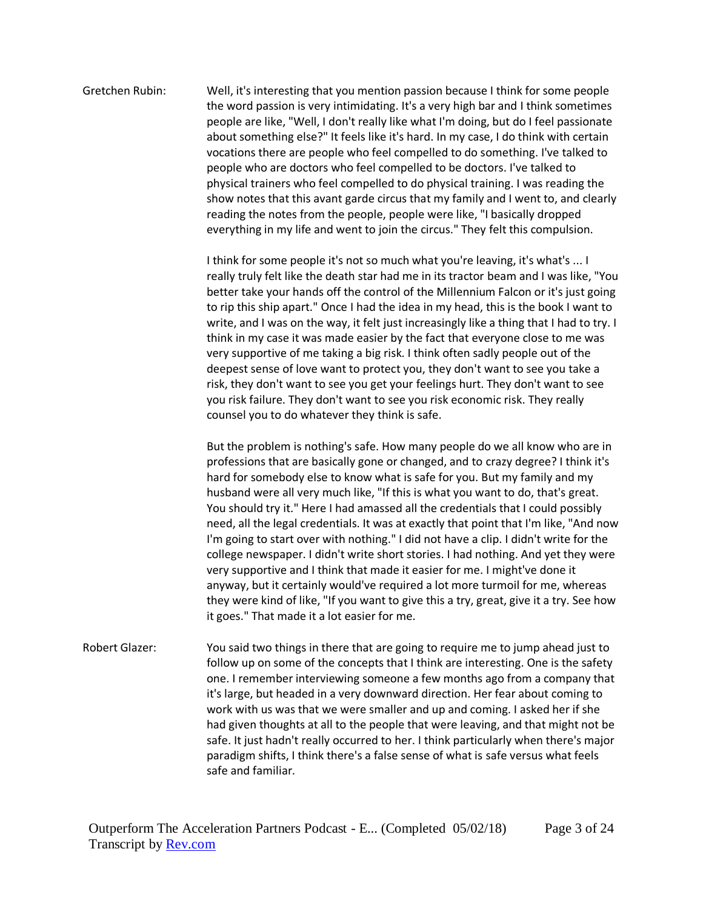Gretchen Rubin: Well, it's interesting that you mention passion because I think for some people the word passion is very intimidating. It's a very high bar and I think sometimes people are like, "Well, I don't really like what I'm doing, but do I feel passionate about something else?" It feels like it's hard. In my case, I do think with certain vocations there are people who feel compelled to do something. I've talked to people who are doctors who feel compelled to be doctors. I've talked to physical trainers who feel compelled to do physical training. I was reading the show notes that this avant garde circus that my family and I went to, and clearly reading the notes from the people, people were like, "I basically dropped everything in my life and went to join the circus." They felt this compulsion.

> I think for some people it's not so much what you're leaving, it's what's ... I really truly felt like the death star had me in its tractor beam and I was like, "You better take your hands off the control of the Millennium Falcon or it's just going to rip this ship apart." Once I had the idea in my head, this is the book I want to write, and I was on the way, it felt just increasingly like a thing that I had to try. I think in my case it was made easier by the fact that everyone close to me was very supportive of me taking a big risk. I think often sadly people out of the deepest sense of love want to protect you, they don't want to see you take a risk, they don't want to see you get your feelings hurt. They don't want to see you risk failure. They don't want to see you risk economic risk. They really counsel you to do whatever they think is safe.

> But the problem is nothing's safe. How many people do we all know who are in professions that are basically gone or changed, and to crazy degree? I think it's hard for somebody else to know what is safe for you. But my family and my husband were all very much like, "If this is what you want to do, that's great. You should try it." Here I had amassed all the credentials that I could possibly need, all the legal credentials. It was at exactly that point that I'm like, "And now I'm going to start over with nothing." I did not have a clip. I didn't write for the college newspaper. I didn't write short stories. I had nothing. And yet they were very supportive and I think that made it easier for me. I might've done it anyway, but it certainly would've required a lot more turmoil for me, whereas they were kind of like, "If you want to give this a try, great, give it a try. See how it goes." That made it a lot easier for me.

Robert Glazer: You said two things in there that are going to require me to jump ahead just to follow up on some of the concepts that I think are interesting. One is the safety one. I remember interviewing someone a few months ago from a company that it's large, but headed in a very downward direction. Her fear about coming to work with us was that we were smaller and up and coming. I asked her if she had given thoughts at all to the people that were leaving, and that might not be safe. It just hadn't really occurred to her. I think particularly when there's major paradigm shifts, I think there's a false sense of what is safe versus what feels safe and familiar.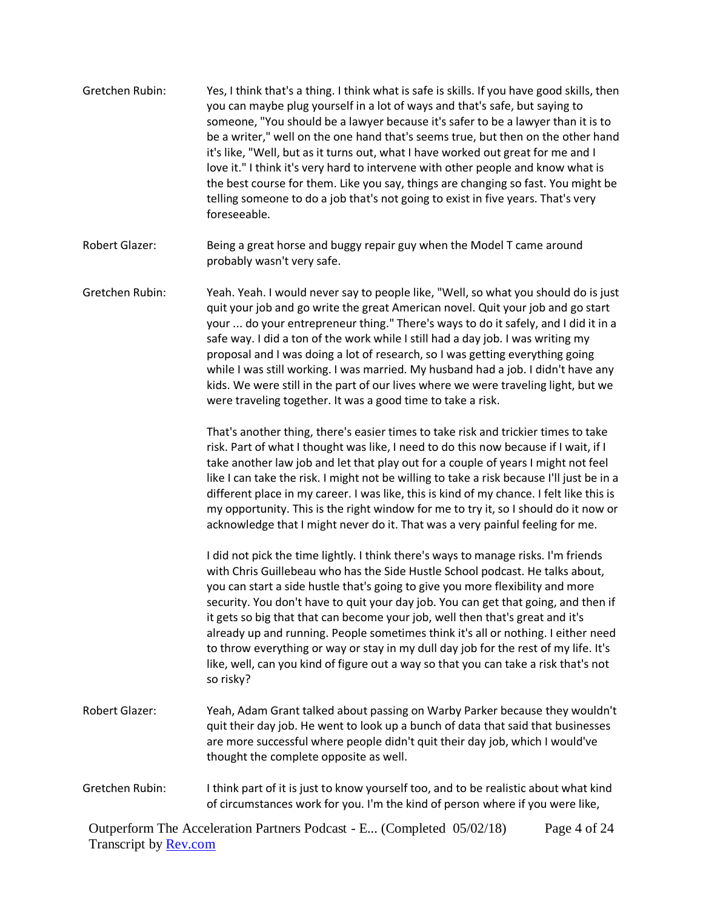- Gretchen Rubin: Yes, I think that's a thing. I think what is safe is skills. If you have good skills, then you can maybe plug yourself in a lot of ways and that's safe, but saying to someone, "You should be a lawyer because it's safer to be a lawyer than it is to be a writer," well on the one hand that's seems true, but then on the other hand it's like, "Well, but as it turns out, what I have worked out great for me and I love it." I think it's very hard to intervene with other people and know what is the best course for them. Like you say, things are changing so fast. You might be telling someone to do a job that's not going to exist in five years. That's very foreseeable.
- Robert Glazer: Being a great horse and buggy repair guy when the Model T came around probably wasn't very safe.
- Gretchen Rubin: Yeah. Yeah. I would never say to people like, "Well, so what you should do is just quit your job and go write the great American novel. Quit your job and go start your ... do your entrepreneur thing." There's ways to do it safely, and I did it in a safe way. I did a ton of the work while I still had a day job. I was writing my proposal and I was doing a lot of research, so I was getting everything going while I was still working. I was married. My husband had a job. I didn't have any kids. We were still in the part of our lives where we were traveling light, but we were traveling together. It was a good time to take a risk.

That's another thing, there's easier times to take risk and trickier times to take risk. Part of what I thought was like, I need to do this now because if I wait, if I take another law job and let that play out for a couple of years I might not feel like I can take the risk. I might not be willing to take a risk because I'll just be in a different place in my career. I was like, this is kind of my chance. I felt like this is my opportunity. This is the right window for me to try it, so I should do it now or acknowledge that I might never do it. That was a very painful feeling for me.

I did not pick the time lightly. I think there's ways to manage risks. I'm friends with Chris Guillebeau who has the Side Hustle School podcast. He talks about, you can start a side hustle that's going to give you more flexibility and more security. You don't have to quit your day job. You can get that going, and then if it gets so big that that can become your job, well then that's great and it's already up and running. People sometimes think it's all or nothing. I either need to throw everything or way or stay in my dull day job for the rest of my life. It's like, well, can you kind of figure out a way so that you can take a risk that's not so risky?

- Robert Glazer: Yeah, Adam Grant talked about passing on Warby Parker because they wouldn't quit their day job. He went to look up a bunch of data that said that businesses are more successful where people didn't quit their day job, which I would've thought the complete opposite as well.
- Gretchen Rubin: I think part of it is just to know yourself too, and to be realistic about what kind of circumstances work for you. I'm the kind of person where if you were like,

Outperform The Acceleration Partners Podcast - E... (Completed 05/02/18) Transcript by **Rev.com** Page 4 of 24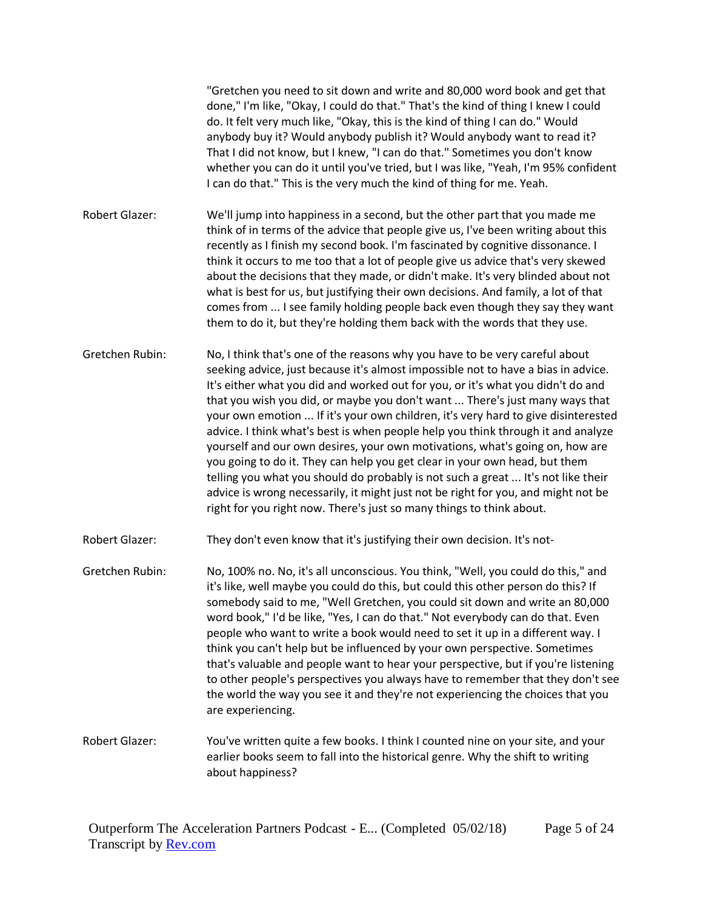"Gretchen you need to sit down and write and 80,000 word book and get that done," I'm like, "Okay, I could do that." That's the kind of thing I knew I could do. It felt very much like, "Okay, this is the kind of thing I can do." Would anybody buy it? Would anybody publish it? Would anybody want to read it? That I did not know, but I knew, "I can do that." Sometimes you don't know whether you can do it until you've tried, but I was like, "Yeah, I'm 95% confident I can do that." This is the very much the kind of thing for me. Yeah. Robert Glazer: We'll jump into happiness in a second, but the other part that you made me think of in terms of the advice that people give us, I've been writing about this recently as I finish my second book. I'm fascinated by cognitive dissonance. I think it occurs to me too that a lot of people give us advice that's very skewed about the decisions that they made, or didn't make. It's very blinded about not what is best for us, but justifying their own decisions. And family, a lot of that comes from ... I see family holding people back even though they say they want them to do it, but they're holding them back with the words that they use. Gretchen Rubin: No, I think that's one of the reasons why you have to be very careful about seeking advice, just because it's almost impossible not to have a bias in advice. It's either what you did and worked out for you, or it's what you didn't do and that you wish you did, or maybe you don't want ... There's just many ways that your own emotion ... If it's your own children, it's very hard to give disinterested advice. I think what's best is when people help you think through it and analyze yourself and our own desires, your own motivations, what's going on, how are you going to do it. They can help you get clear in your own head, but them telling you what you should do probably is not such a great ... It's not like their advice is wrong necessarily, it might just not be right for you, and might not be right for you right now. There's just so many things to think about. Robert Glazer: They don't even know that it's justifying their own decision. It's not-Gretchen Rubin: No, 100% no. No, it's all unconscious. You think, "Well, you could do this," and

it's like, well maybe you could do this, but could this other person do this? If somebody said to me, "Well Gretchen, you could sit down and write an 80,000 word book," I'd be like, "Yes, I can do that." Not everybody can do that. Even people who want to write a book would need to set it up in a different way. I think you can't help but be influenced by your own perspective. Sometimes that's valuable and people want to hear your perspective, but if you're listening to other people's perspectives you always have to remember that they don't see the world the way you see it and they're not experiencing the choices that you are experiencing.

Robert Glazer: You've written quite a few books. I think I counted nine on your site, and your earlier books seem to fall into the historical genre. Why the shift to writing about happiness?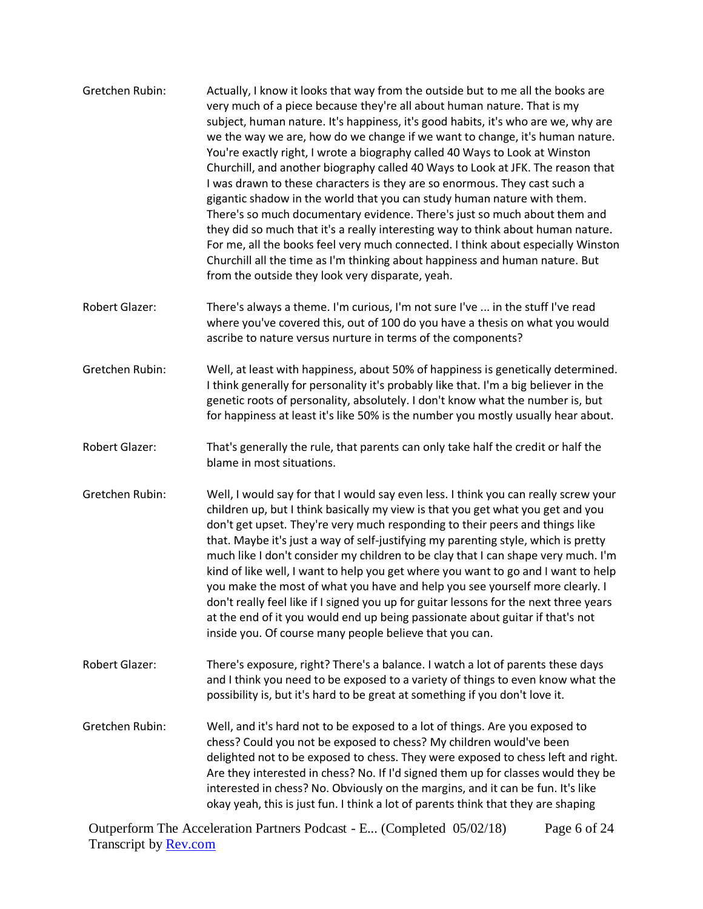| Gretchen Rubin:       | Actually, I know it looks that way from the outside but to me all the books are<br>very much of a piece because they're all about human nature. That is my<br>subject, human nature. It's happiness, it's good habits, it's who are we, why are<br>we the way we are, how do we change if we want to change, it's human nature.<br>You're exactly right, I wrote a biography called 40 Ways to Look at Winston<br>Churchill, and another biography called 40 Ways to Look at JFK. The reason that<br>I was drawn to these characters is they are so enormous. They cast such a<br>gigantic shadow in the world that you can study human nature with them.<br>There's so much documentary evidence. There's just so much about them and<br>they did so much that it's a really interesting way to think about human nature.<br>For me, all the books feel very much connected. I think about especially Winston<br>Churchill all the time as I'm thinking about happiness and human nature. But<br>from the outside they look very disparate, yeah. |
|-----------------------|----------------------------------------------------------------------------------------------------------------------------------------------------------------------------------------------------------------------------------------------------------------------------------------------------------------------------------------------------------------------------------------------------------------------------------------------------------------------------------------------------------------------------------------------------------------------------------------------------------------------------------------------------------------------------------------------------------------------------------------------------------------------------------------------------------------------------------------------------------------------------------------------------------------------------------------------------------------------------------------------------------------------------------------------------|
| <b>Robert Glazer:</b> | There's always a theme. I'm curious, I'm not sure I've  in the stuff I've read<br>where you've covered this, out of 100 do you have a thesis on what you would<br>ascribe to nature versus nurture in terms of the components?                                                                                                                                                                                                                                                                                                                                                                                                                                                                                                                                                                                                                                                                                                                                                                                                                     |
| Gretchen Rubin:       | Well, at least with happiness, about 50% of happiness is genetically determined.<br>I think generally for personality it's probably like that. I'm a big believer in the<br>genetic roots of personality, absolutely. I don't know what the number is, but<br>for happiness at least it's like 50% is the number you mostly usually hear about.                                                                                                                                                                                                                                                                                                                                                                                                                                                                                                                                                                                                                                                                                                    |
| Robert Glazer:        | That's generally the rule, that parents can only take half the credit or half the<br>blame in most situations.                                                                                                                                                                                                                                                                                                                                                                                                                                                                                                                                                                                                                                                                                                                                                                                                                                                                                                                                     |
| Gretchen Rubin:       | Well, I would say for that I would say even less. I think you can really screw your<br>children up, but I think basically my view is that you get what you get and you<br>don't get upset. They're very much responding to their peers and things like<br>that. Maybe it's just a way of self-justifying my parenting style, which is pretty<br>much like I don't consider my children to be clay that I can shape very much. I'm<br>kind of like well, I want to help you get where you want to go and I want to help<br>you make the most of what you have and help you see yourself more clearly. I<br>don't really feel like if I signed you up for guitar lessons for the next three years<br>at the end of it you would end up being passionate about guitar if that's not<br>inside you. Of course many people believe that you can.                                                                                                                                                                                                        |
| <b>Robert Glazer:</b> | There's exposure, right? There's a balance. I watch a lot of parents these days<br>and I think you need to be exposed to a variety of things to even know what the<br>possibility is, but it's hard to be great at something if you don't love it.                                                                                                                                                                                                                                                                                                                                                                                                                                                                                                                                                                                                                                                                                                                                                                                                 |
| Gretchen Rubin:       | Well, and it's hard not to be exposed to a lot of things. Are you exposed to<br>chess? Could you not be exposed to chess? My children would've been<br>delighted not to be exposed to chess. They were exposed to chess left and right.<br>Are they interested in chess? No. If I'd signed them up for classes would they be<br>interested in chess? No. Obviously on the margins, and it can be fun. It's like<br>okay yeah, this is just fun. I think a lot of parents think that they are shaping                                                                                                                                                                                                                                                                                                                                                                                                                                                                                                                                               |

Outperform The Acceleration Partners Podcast - E... (Completed 05/02/18) Transcript by **Rev.com** Page 6 of 24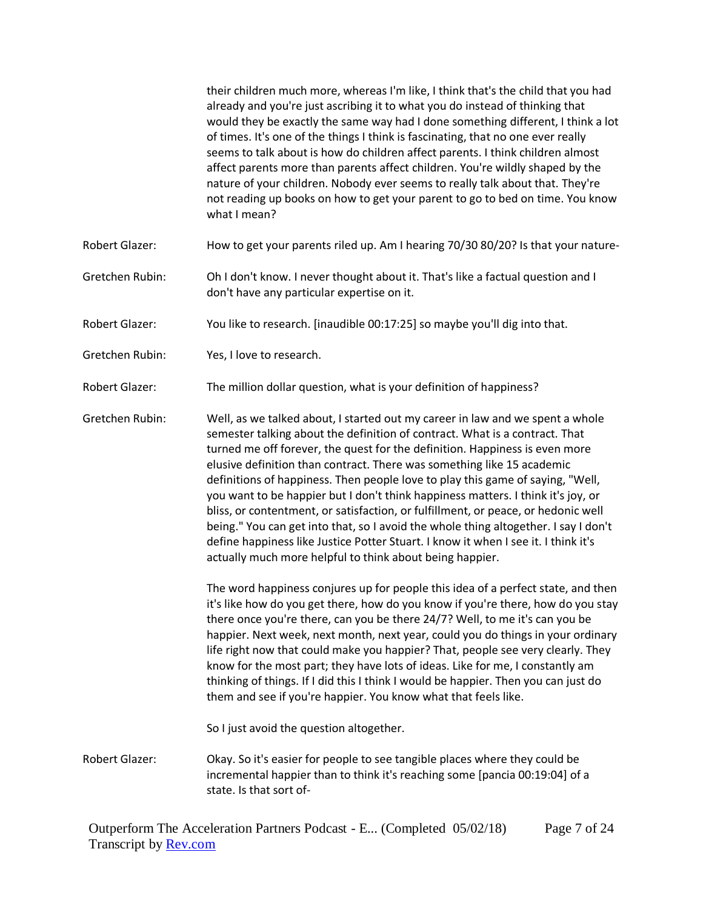|                       | their children much more, whereas I'm like, I think that's the child that you had<br>already and you're just ascribing it to what you do instead of thinking that<br>would they be exactly the same way had I done something different, I think a lot<br>of times. It's one of the things I think is fascinating, that no one ever really<br>seems to talk about is how do children affect parents. I think children almost<br>affect parents more than parents affect children. You're wildly shaped by the<br>nature of your children. Nobody ever seems to really talk about that. They're<br>not reading up books on how to get your parent to go to bed on time. You know<br>what I mean?                                                                                                                            |
|-----------------------|---------------------------------------------------------------------------------------------------------------------------------------------------------------------------------------------------------------------------------------------------------------------------------------------------------------------------------------------------------------------------------------------------------------------------------------------------------------------------------------------------------------------------------------------------------------------------------------------------------------------------------------------------------------------------------------------------------------------------------------------------------------------------------------------------------------------------|
| Robert Glazer:        | How to get your parents riled up. Am I hearing 70/30 80/20? Is that your nature-                                                                                                                                                                                                                                                                                                                                                                                                                                                                                                                                                                                                                                                                                                                                          |
| Gretchen Rubin:       | Oh I don't know. I never thought about it. That's like a factual question and I<br>don't have any particular expertise on it.                                                                                                                                                                                                                                                                                                                                                                                                                                                                                                                                                                                                                                                                                             |
| Robert Glazer:        | You like to research. [inaudible 00:17:25] so maybe you'll dig into that.                                                                                                                                                                                                                                                                                                                                                                                                                                                                                                                                                                                                                                                                                                                                                 |
| Gretchen Rubin:       | Yes, I love to research.                                                                                                                                                                                                                                                                                                                                                                                                                                                                                                                                                                                                                                                                                                                                                                                                  |
| Robert Glazer:        | The million dollar question, what is your definition of happiness?                                                                                                                                                                                                                                                                                                                                                                                                                                                                                                                                                                                                                                                                                                                                                        |
| Gretchen Rubin:       | Well, as we talked about, I started out my career in law and we spent a whole<br>semester talking about the definition of contract. What is a contract. That<br>turned me off forever, the quest for the definition. Happiness is even more<br>elusive definition than contract. There was something like 15 academic<br>definitions of happiness. Then people love to play this game of saying, "Well,<br>you want to be happier but I don't think happiness matters. I think it's joy, or<br>bliss, or contentment, or satisfaction, or fulfillment, or peace, or hedonic well<br>being." You can get into that, so I avoid the whole thing altogether. I say I don't<br>define happiness like Justice Potter Stuart. I know it when I see it. I think it's<br>actually much more helpful to think about being happier. |
|                       | The word happiness conjures up for people this idea of a perfect state, and then<br>it's like how do you get there, how do you know if you're there, how do you stay<br>there once you're there, can you be there 24/7? Well, to me it's can you be<br>happier. Next week, next month, next year, could you do things in your ordinary<br>life right now that could make you happier? That, people see very clearly. They<br>know for the most part; they have lots of ideas. Like for me, I constantly am<br>thinking of things. If I did this I think I would be happier. Then you can just do<br>them and see if you're happier. You know what that feels like.<br>So I just avoid the question altogether.                                                                                                            |
| <b>Robert Glazer:</b> | Okay. So it's easier for people to see tangible places where they could be<br>incremental happier than to think it's reaching some [pancia 00:19:04] of a<br>state. Is that sort of-                                                                                                                                                                                                                                                                                                                                                                                                                                                                                                                                                                                                                                      |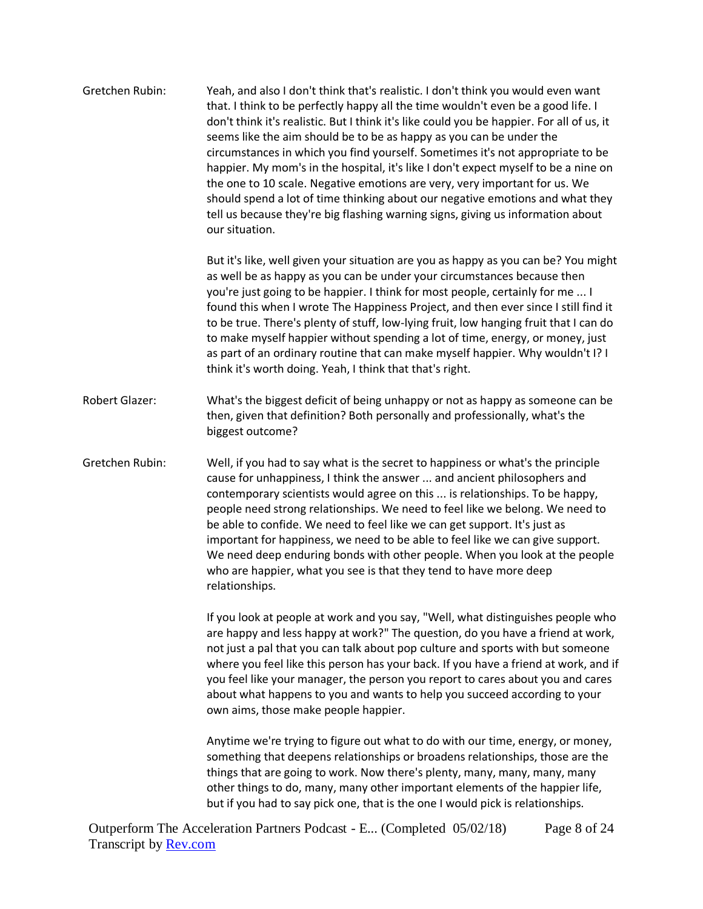| Gretchen Rubin: | Yeah, and also I don't think that's realistic. I don't think you would even want<br>that. I think to be perfectly happy all the time wouldn't even be a good life. I<br>don't think it's realistic. But I think it's like could you be happier. For all of us, it<br>seems like the aim should be to be as happy as you can be under the<br>circumstances in which you find yourself. Sometimes it's not appropriate to be<br>happier. My mom's in the hospital, it's like I don't expect myself to be a nine on<br>the one to 10 scale. Negative emotions are very, very important for us. We<br>should spend a lot of time thinking about our negative emotions and what they<br>tell us because they're big flashing warning signs, giving us information about<br>our situation. |
|-----------------|--------------------------------------------------------------------------------------------------------------------------------------------------------------------------------------------------------------------------------------------------------------------------------------------------------------------------------------------------------------------------------------------------------------------------------------------------------------------------------------------------------------------------------------------------------------------------------------------------------------------------------------------------------------------------------------------------------------------------------------------------------------------------------------|
|                 | But it's like, well given your situation are you as happy as you can be? You might<br>as well be as happy as you can be under your circumstances because then<br>you're just going to be happier. I think for most people, certainly for me  I<br>found this when I wrote The Happiness Project, and then ever since I still find it<br>to be true. There's plenty of stuff, low-lying fruit, low hanging fruit that I can do<br>to make myself happier without spending a lot of time, energy, or money, just<br>as part of an ordinary routine that can make myself happier. Why wouldn't I? I<br>think it's worth doing. Yeah, I think that that's right.                                                                                                                         |
| Robert Glazer:  | What's the biggest deficit of being unhappy or not as happy as someone can be<br>then, given that definition? Both personally and professionally, what's the<br>biggest outcome?                                                                                                                                                                                                                                                                                                                                                                                                                                                                                                                                                                                                     |
| Gretchen Rubin: | Well, if you had to say what is the secret to happiness or what's the principle<br>cause for unhappiness, I think the answer  and ancient philosophers and<br>contemporary scientists would agree on this  is relationships. To be happy,<br>people need strong relationships. We need to feel like we belong. We need to<br>be able to confide. We need to feel like we can get support. It's just as<br>important for happiness, we need to be able to feel like we can give support.<br>We need deep enduring bonds with other people. When you look at the people<br>who are happier, what you see is that they tend to have more deep<br>relationships.                                                                                                                         |
|                 | If you look at people at work and you say, "Well, what distinguishes people who<br>are happy and less happy at work?" The question, do you have a friend at work,<br>not just a pal that you can talk about pop culture and sports with but someone<br>where you feel like this person has your back. If you have a friend at work, and if<br>you feel like your manager, the person you report to cares about you and cares<br>about what happens to you and wants to help you succeed according to your<br>own aims, those make people happier.                                                                                                                                                                                                                                    |
|                 | Anytime we're trying to figure out what to do with our time, energy, or money,<br>something that deepens relationships or broadens relationships, those are the<br>things that are going to work. Now there's plenty, many, many, many, many<br>other things to do, many, many other important elements of the happier life,<br>but if you had to say pick one, that is the one I would pick is relationships.                                                                                                                                                                                                                                                                                                                                                                       |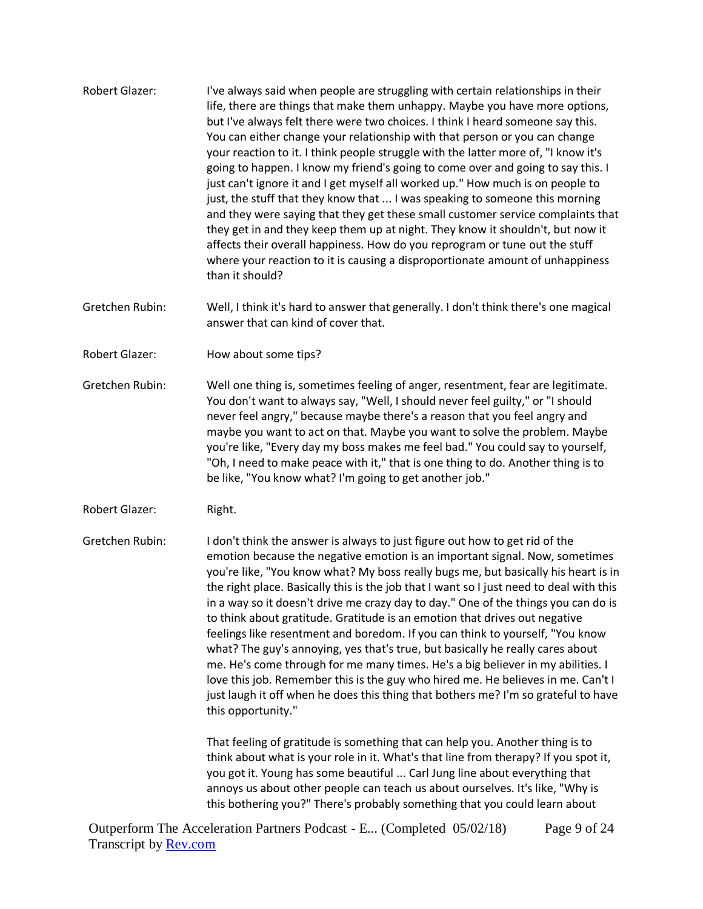- Robert Glazer: I've always said when people are struggling with certain relationships in their life, there are things that make them unhappy. Maybe you have more options, but I've always felt there were two choices. I think I heard someone say this. You can either change your relationship with that person or you can change your reaction to it. I think people struggle with the latter more of, "I know it's going to happen. I know my friend's going to come over and going to say this. I just can't ignore it and I get myself all worked up." How much is on people to just, the stuff that they know that ... I was speaking to someone this morning and they were saying that they get these small customer service complaints that they get in and they keep them up at night. They know it shouldn't, but now it affects their overall happiness. How do you reprogram or tune out the stuff where your reaction to it is causing a disproportionate amount of unhappiness than it should?
- Gretchen Rubin: Well, I think it's hard to answer that generally. I don't think there's one magical answer that can kind of cover that.
- Robert Glazer: How about some tips?
- Gretchen Rubin: Well one thing is, sometimes feeling of anger, resentment, fear are legitimate. You don't want to always say, "Well, I should never feel guilty," or "I should never feel angry," because maybe there's a reason that you feel angry and maybe you want to act on that. Maybe you want to solve the problem. Maybe you're like, "Every day my boss makes me feel bad." You could say to yourself, "Oh, I need to make peace with it," that is one thing to do. Another thing is to be like, "You know what? I'm going to get another job."
- Robert Glazer: Right.

Gretchen Rubin: I don't think the answer is always to just figure out how to get rid of the emotion because the negative emotion is an important signal. Now, sometimes you're like, "You know what? My boss really bugs me, but basically his heart is in the right place. Basically this is the job that I want so I just need to deal with this in a way so it doesn't drive me crazy day to day." One of the things you can do is to think about gratitude. Gratitude is an emotion that drives out negative feelings like resentment and boredom. If you can think to yourself, "You know what? The guy's annoying, yes that's true, but basically he really cares about me. He's come through for me many times. He's a big believer in my abilities. I love this job. Remember this is the guy who hired me. He believes in me. Can't I just laugh it off when he does this thing that bothers me? I'm so grateful to have this opportunity."

> That feeling of gratitude is something that can help you. Another thing is to think about what is your role in it. What's that line from therapy? If you spot it, you got it. Young has some beautiful ... Carl Jung line about everything that annoys us about other people can teach us about ourselves. It's like, "Why is this bothering you?" There's probably something that you could learn about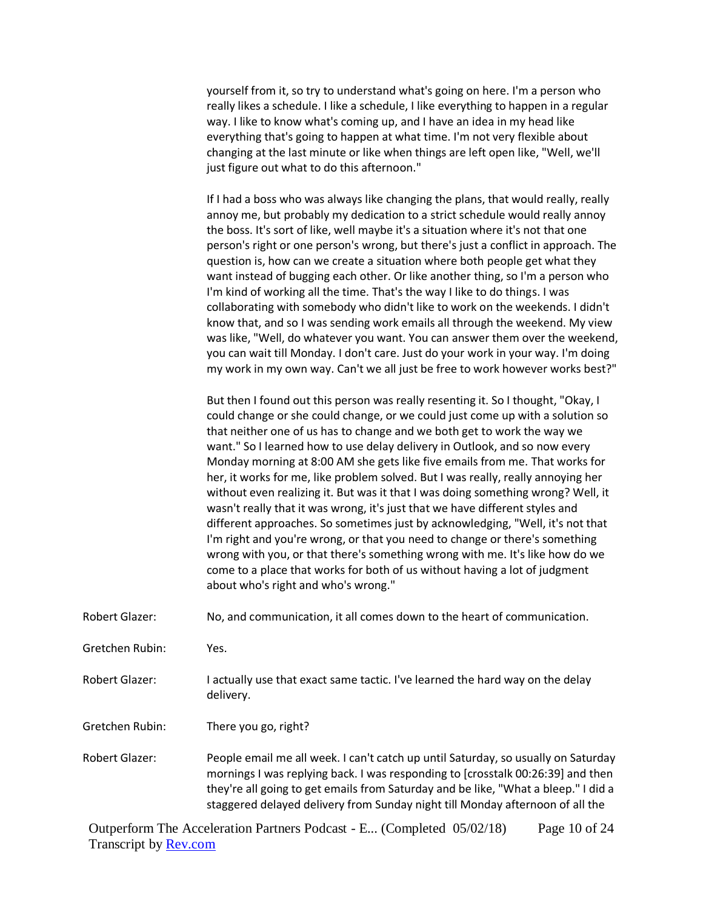yourself from it, so try to understand what's going on here. I'm a person who really likes a schedule. I like a schedule, I like everything to happen in a regular way. I like to know what's coming up, and I have an idea in my head like everything that's going to happen at what time. I'm not very flexible about changing at the last minute or like when things are left open like, "Well, we'll just figure out what to do this afternoon."

If I had a boss who was always like changing the plans, that would really, really annoy me, but probably my dedication to a strict schedule would really annoy the boss. It's sort of like, well maybe it's a situation where it's not that one person's right or one person's wrong, but there's just a conflict in approach. The question is, how can we create a situation where both people get what they want instead of bugging each other. Or like another thing, so I'm a person who I'm kind of working all the time. That's the way I like to do things. I was collaborating with somebody who didn't like to work on the weekends. I didn't know that, and so I was sending work emails all through the weekend. My view was like, "Well, do whatever you want. You can answer them over the weekend, you can wait till Monday. I don't care. Just do your work in your way. I'm doing my work in my own way. Can't we all just be free to work however works best?"

But then I found out this person was really resenting it. So I thought, "Okay, I could change or she could change, or we could just come up with a solution so that neither one of us has to change and we both get to work the way we want." So I learned how to use delay delivery in Outlook, and so now every Monday morning at 8:00 AM she gets like five emails from me. That works for her, it works for me, like problem solved. But I was really, really annoying her without even realizing it. But was it that I was doing something wrong? Well, it wasn't really that it was wrong, it's just that we have different styles and different approaches. So sometimes just by acknowledging, "Well, it's not that I'm right and you're wrong, or that you need to change or there's something wrong with you, or that there's something wrong with me. It's like how do we come to a place that works for both of us without having a lot of judgment about who's right and who's wrong."

Robert Glazer: No, and communication, it all comes down to the heart of communication.

Gretchen Rubin: Yes.

Robert Glazer: I actually use that exact same tactic. I've learned the hard way on the delay delivery.

Gretchen Rubin: There you go, right?

Robert Glazer: People email me all week. I can't catch up until Saturday, so usually on Saturday mornings I was replying back. I was responding to [crosstalk 00:26:39] and then they're all going to get emails from Saturday and be like, "What a bleep." I did a staggered delayed delivery from Sunday night till Monday afternoon of all the

Outperform The Acceleration Partners Podcast - E... (Completed 05/02/18) Transcript by **Rev.com** Page 10 of 24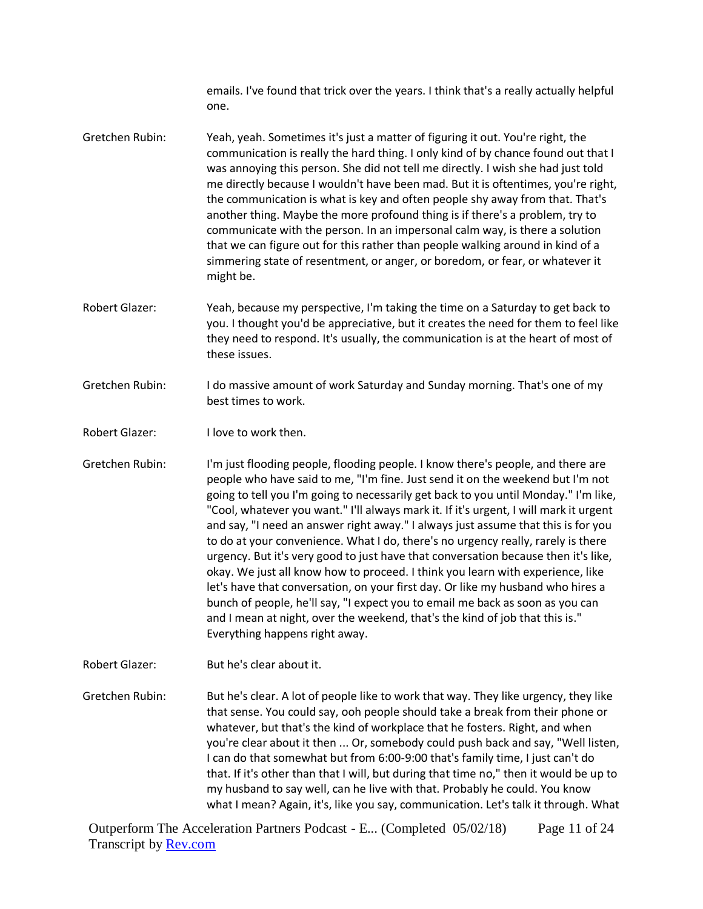emails. I've found that trick over the years. I think that's a really actually helpful one.

- Gretchen Rubin: Yeah, yeah. Sometimes it's just a matter of figuring it out. You're right, the communication is really the hard thing. I only kind of by chance found out that I was annoying this person. She did not tell me directly. I wish she had just told me directly because I wouldn't have been mad. But it is oftentimes, you're right, the communication is what is key and often people shy away from that. That's another thing. Maybe the more profound thing is if there's a problem, try to communicate with the person. In an impersonal calm way, is there a solution that we can figure out for this rather than people walking around in kind of a simmering state of resentment, or anger, or boredom, or fear, or whatever it might be.
- Robert Glazer: Yeah, because my perspective, I'm taking the time on a Saturday to get back to you. I thought you'd be appreciative, but it creates the need for them to feel like they need to respond. It's usually, the communication is at the heart of most of these issues.
- Gretchen Rubin: I do massive amount of work Saturday and Sunday morning. That's one of my best times to work.
- Robert Glazer: I love to work then.
- Gretchen Rubin: I'm just flooding people, flooding people. I know there's people, and there are people who have said to me, "I'm fine. Just send it on the weekend but I'm not going to tell you I'm going to necessarily get back to you until Monday." I'm like, "Cool, whatever you want." I'll always mark it. If it's urgent, I will mark it urgent and say, "I need an answer right away." I always just assume that this is for you to do at your convenience. What I do, there's no urgency really, rarely is there urgency. But it's very good to just have that conversation because then it's like, okay. We just all know how to proceed. I think you learn with experience, like let's have that conversation, on your first day. Or like my husband who hires a bunch of people, he'll say, "I expect you to email me back as soon as you can and I mean at night, over the weekend, that's the kind of job that this is." Everything happens right away.
- Robert Glazer: But he's clear about it.

Gretchen Rubin: But he's clear. A lot of people like to work that way. They like urgency, they like that sense. You could say, ooh people should take a break from their phone or whatever, but that's the kind of workplace that he fosters. Right, and when you're clear about it then ... Or, somebody could push back and say, "Well listen, I can do that somewhat but from 6:00-9:00 that's family time, I just can't do that. If it's other than that I will, but during that time no," then it would be up to my husband to say well, can he live with that. Probably he could. You know what I mean? Again, it's, like you say, communication. Let's talk it through. What

Outperform The Acceleration Partners Podcast - E... (Completed 05/02/18) Transcript by **Rev.com** Page 11 of 24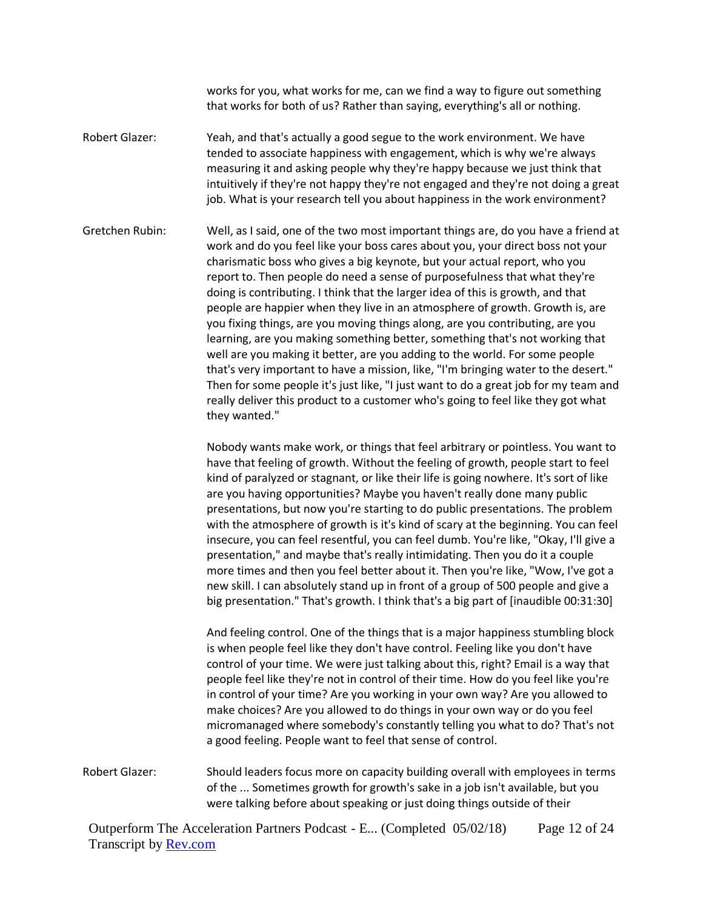works for you, what works for me, can we find a way to figure out something that works for both of us? Rather than saying, everything's all or nothing.

Robert Glazer: Yeah, and that's actually a good segue to the work environment. We have tended to associate happiness with engagement, which is why we're always measuring it and asking people why they're happy because we just think that intuitively if they're not happy they're not engaged and they're not doing a great job. What is your research tell you about happiness in the work environment?

Gretchen Rubin: Well, as I said, one of the two most important things are, do you have a friend at work and do you feel like your boss cares about you, your direct boss not your charismatic boss who gives a big keynote, but your actual report, who you report to. Then people do need a sense of purposefulness that what they're doing is contributing. I think that the larger idea of this is growth, and that people are happier when they live in an atmosphere of growth. Growth is, are you fixing things, are you moving things along, are you contributing, are you learning, are you making something better, something that's not working that well are you making it better, are you adding to the world. For some people that's very important to have a mission, like, "I'm bringing water to the desert." Then for some people it's just like, "I just want to do a great job for my team and really deliver this product to a customer who's going to feel like they got what they wanted."

> Nobody wants make work, or things that feel arbitrary or pointless. You want to have that feeling of growth. Without the feeling of growth, people start to feel kind of paralyzed or stagnant, or like their life is going nowhere. It's sort of like are you having opportunities? Maybe you haven't really done many public presentations, but now you're starting to do public presentations. The problem with the atmosphere of growth is it's kind of scary at the beginning. You can feel insecure, you can feel resentful, you can feel dumb. You're like, "Okay, I'll give a presentation," and maybe that's really intimidating. Then you do it a couple more times and then you feel better about it. Then you're like, "Wow, I've got a new skill. I can absolutely stand up in front of a group of 500 people and give a big presentation." That's growth. I think that's a big part of [inaudible 00:31:30]

> And feeling control. One of the things that is a major happiness stumbling block is when people feel like they don't have control. Feeling like you don't have control of your time. We were just talking about this, right? Email is a way that people feel like they're not in control of their time. How do you feel like you're in control of your time? Are you working in your own way? Are you allowed to make choices? Are you allowed to do things in your own way or do you feel micromanaged where somebody's constantly telling you what to do? That's not a good feeling. People want to feel that sense of control.

Robert Glazer: Should leaders focus more on capacity building overall with employees in terms of the ... Sometimes growth for growth's sake in a job isn't available, but you were talking before about speaking or just doing things outside of their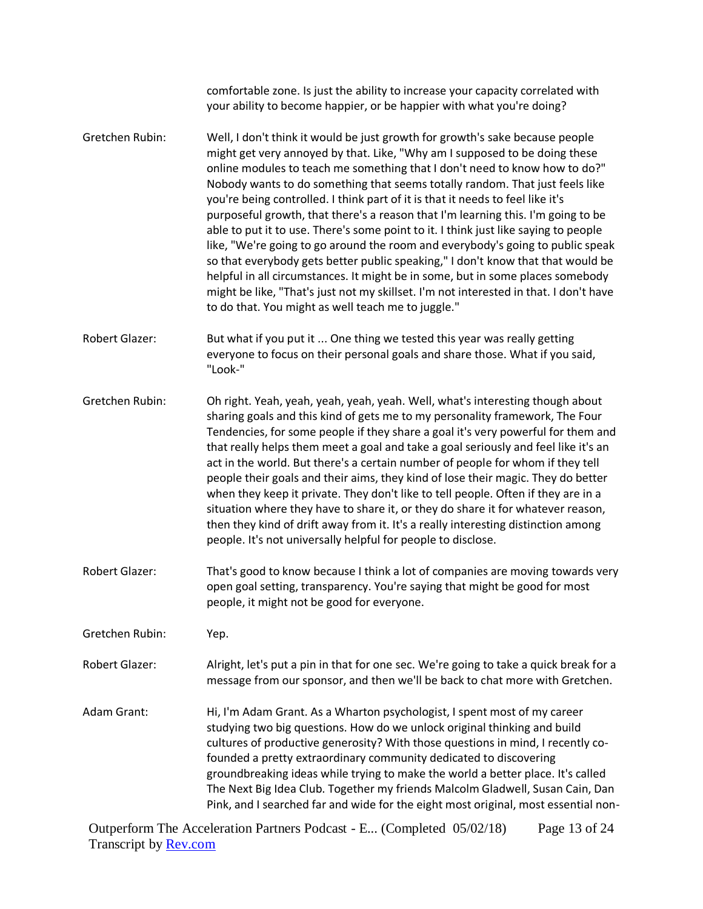comfortable zone. Is just the ability to increase your capacity correlated with your ability to become happier, or be happier with what you're doing? Gretchen Rubin: Well, I don't think it would be just growth for growth's sake because people might get very annoyed by that. Like, "Why am I supposed to be doing these online modules to teach me something that I don't need to know how to do?" Nobody wants to do something that seems totally random. That just feels like you're being controlled. I think part of it is that it needs to feel like it's purposeful growth, that there's a reason that I'm learning this. I'm going to be able to put it to use. There's some point to it. I think just like saying to people like, "We're going to go around the room and everybody's going to public speak so that everybody gets better public speaking," I don't know that that would be helpful in all circumstances. It might be in some, but in some places somebody might be like, "That's just not my skillset. I'm not interested in that. I don't have to do that. You might as well teach me to juggle." Robert Glazer: But what if you put it ... One thing we tested this year was really getting everyone to focus on their personal goals and share those. What if you said, "Look-" Gretchen Rubin: Oh right. Yeah, yeah, yeah, yeah, yeah. Well, what's interesting though about sharing goals and this kind of gets me to my personality framework, The Four Tendencies, for some people if they share a goal it's very powerful for them and that really helps them meet a goal and take a goal seriously and feel like it's an act in the world. But there's a certain number of people for whom if they tell people their goals and their aims, they kind of lose their magic. They do better when they keep it private. They don't like to tell people. Often if they are in a situation where they have to share it, or they do share it for whatever reason, then they kind of drift away from it. It's a really interesting distinction among people. It's not universally helpful for people to disclose. Robert Glazer: That's good to know because I think a lot of companies are moving towards very open goal setting, transparency. You're saying that might be good for most people, it might not be good for everyone. Gretchen Rubin: Yep. Robert Glazer: Alright, let's put a pin in that for one sec. We're going to take a quick break for a message from our sponsor, and then we'll be back to chat more with Gretchen. Adam Grant: Hi, I'm Adam Grant. As a Wharton psychologist, I spent most of my career studying two big questions. How do we unlock original thinking and build cultures of productive generosity? With those questions in mind, I recently cofounded a pretty extraordinary community dedicated to discovering groundbreaking ideas while trying to make the world a better place. It's called The Next Big Idea Club. Together my friends Malcolm Gladwell, Susan Cain, Dan Pink, and I searched far and wide for the eight most original, most essential non-

Outperform The Acceleration Partners Podcast - E... (Completed 05/02/18) Transcript by **Rev.com** Page 13 of 24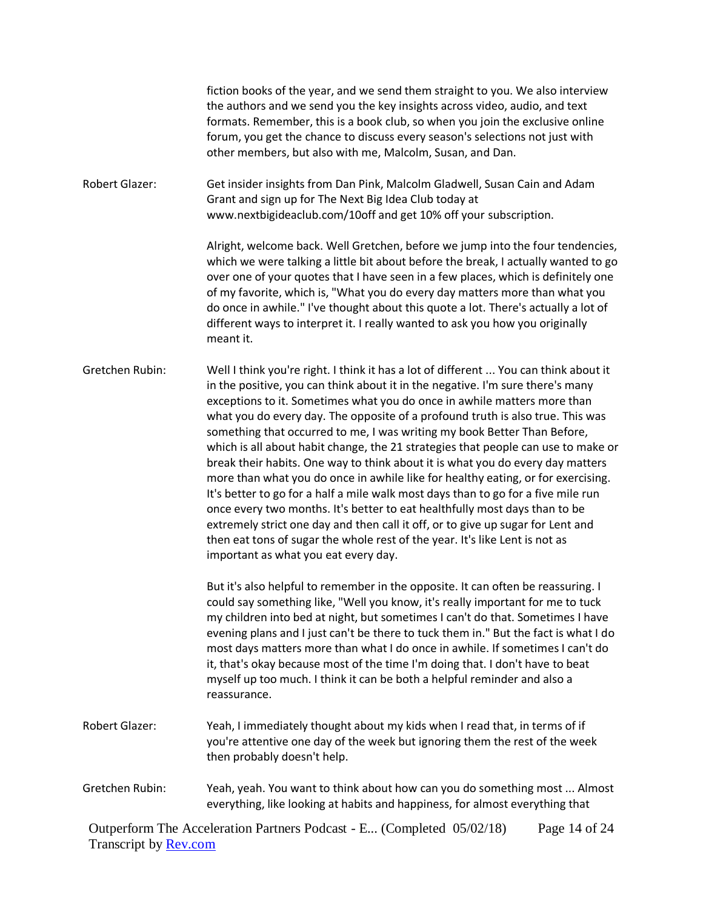fiction books of the year, and we send them straight to you. We also interview the authors and we send you the key insights across video, audio, and text formats. Remember, this is a book club, so when you join the exclusive online forum, you get the chance to discuss every season's selections not just with other members, but also with me, Malcolm, Susan, and Dan.

Robert Glazer: Get insider insights from Dan Pink, Malcolm Gladwell, Susan Cain and Adam Grant and sign up for The Next Big Idea Club today at www.nextbigideaclub.com/10off and get 10% off your subscription.

> Alright, welcome back. Well Gretchen, before we jump into the four tendencies, which we were talking a little bit about before the break, I actually wanted to go over one of your quotes that I have seen in a few places, which is definitely one of my favorite, which is, "What you do every day matters more than what you do once in awhile." I've thought about this quote a lot. There's actually a lot of different ways to interpret it. I really wanted to ask you how you originally meant it.

Gretchen Rubin: Well I think you're right. I think it has a lot of different ... You can think about it in the positive, you can think about it in the negative. I'm sure there's many exceptions to it. Sometimes what you do once in awhile matters more than what you do every day. The opposite of a profound truth is also true. This was something that occurred to me, I was writing my book Better Than Before, which is all about habit change, the 21 strategies that people can use to make or break their habits. One way to think about it is what you do every day matters more than what you do once in awhile like for healthy eating, or for exercising. It's better to go for a half a mile walk most days than to go for a five mile run once every two months. It's better to eat healthfully most days than to be extremely strict one day and then call it off, or to give up sugar for Lent and then eat tons of sugar the whole rest of the year. It's like Lent is not as important as what you eat every day.

> But it's also helpful to remember in the opposite. It can often be reassuring. I could say something like, "Well you know, it's really important for me to tuck my children into bed at night, but sometimes I can't do that. Sometimes I have evening plans and I just can't be there to tuck them in." But the fact is what I do most days matters more than what I do once in awhile. If sometimes I can't do it, that's okay because most of the time I'm doing that. I don't have to beat myself up too much. I think it can be both a helpful reminder and also a reassurance.

- Robert Glazer: Yeah, I immediately thought about my kids when I read that, in terms of if you're attentive one day of the week but ignoring them the rest of the week then probably doesn't help.
- Gretchen Rubin: Yeah, yeah. You want to think about how can you do something most ... Almost everything, like looking at habits and happiness, for almost everything that

Outperform The Acceleration Partners Podcast - E... (Completed 05/02/18) Transcript by **Rev.com** Page 14 of 24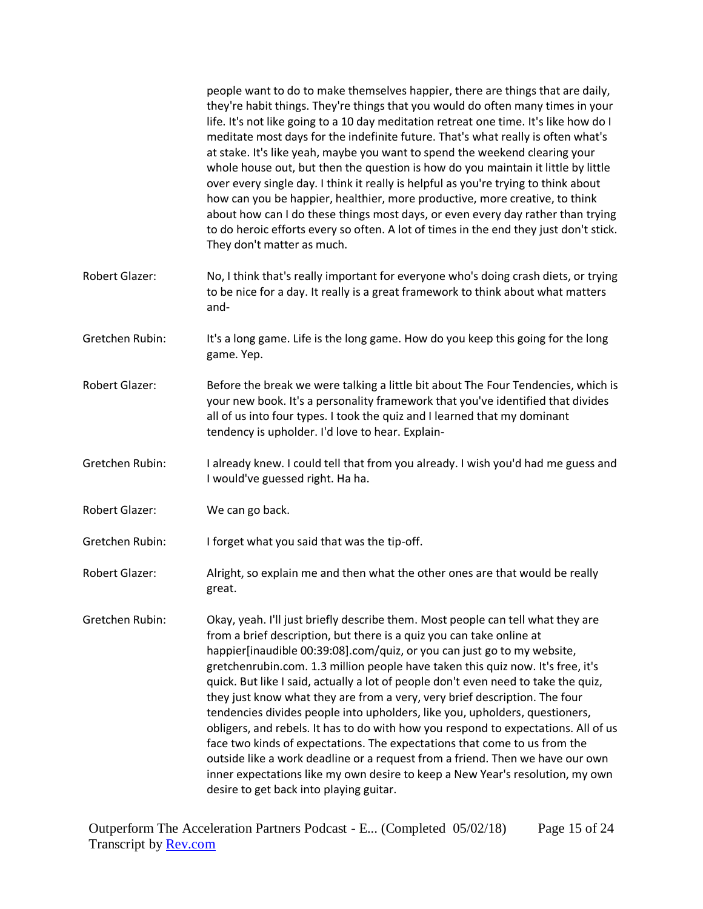|                       | people want to do to make themselves happier, there are things that are daily,<br>they're habit things. They're things that you would do often many times in your<br>life. It's not like going to a 10 day meditation retreat one time. It's like how do I<br>meditate most days for the indefinite future. That's what really is often what's<br>at stake. It's like yeah, maybe you want to spend the weekend clearing your<br>whole house out, but then the question is how do you maintain it little by little<br>over every single day. I think it really is helpful as you're trying to think about<br>how can you be happier, healthier, more productive, more creative, to think<br>about how can I do these things most days, or even every day rather than trying<br>to do heroic efforts every so often. A lot of times in the end they just don't stick.<br>They don't matter as much.                                                       |
|-----------------------|----------------------------------------------------------------------------------------------------------------------------------------------------------------------------------------------------------------------------------------------------------------------------------------------------------------------------------------------------------------------------------------------------------------------------------------------------------------------------------------------------------------------------------------------------------------------------------------------------------------------------------------------------------------------------------------------------------------------------------------------------------------------------------------------------------------------------------------------------------------------------------------------------------------------------------------------------------|
| <b>Robert Glazer:</b> | No, I think that's really important for everyone who's doing crash diets, or trying<br>to be nice for a day. It really is a great framework to think about what matters<br>and-                                                                                                                                                                                                                                                                                                                                                                                                                                                                                                                                                                                                                                                                                                                                                                          |
| Gretchen Rubin:       | It's a long game. Life is the long game. How do you keep this going for the long<br>game. Yep.                                                                                                                                                                                                                                                                                                                                                                                                                                                                                                                                                                                                                                                                                                                                                                                                                                                           |
| <b>Robert Glazer:</b> | Before the break we were talking a little bit about The Four Tendencies, which is<br>your new book. It's a personality framework that you've identified that divides<br>all of us into four types. I took the quiz and I learned that my dominant<br>tendency is upholder. I'd love to hear. Explain-                                                                                                                                                                                                                                                                                                                                                                                                                                                                                                                                                                                                                                                    |
| Gretchen Rubin:       | I already knew. I could tell that from you already. I wish you'd had me guess and<br>I would've guessed right. Ha ha.                                                                                                                                                                                                                                                                                                                                                                                                                                                                                                                                                                                                                                                                                                                                                                                                                                    |
| Robert Glazer:        | We can go back.                                                                                                                                                                                                                                                                                                                                                                                                                                                                                                                                                                                                                                                                                                                                                                                                                                                                                                                                          |
| Gretchen Rubin:       | I forget what you said that was the tip-off.                                                                                                                                                                                                                                                                                                                                                                                                                                                                                                                                                                                                                                                                                                                                                                                                                                                                                                             |
| Robert Glazer:        | Alright, so explain me and then what the other ones are that would be really<br>great.                                                                                                                                                                                                                                                                                                                                                                                                                                                                                                                                                                                                                                                                                                                                                                                                                                                                   |
| Gretchen Rubin:       | Okay, yeah. I'll just briefly describe them. Most people can tell what they are<br>from a brief description, but there is a quiz you can take online at<br>happier[inaudible 00:39:08].com/quiz, or you can just go to my website,<br>gretchenrubin.com. 1.3 million people have taken this quiz now. It's free, it's<br>quick. But like I said, actually a lot of people don't even need to take the quiz,<br>they just know what they are from a very, very brief description. The four<br>tendencies divides people into upholders, like you, upholders, questioners,<br>obligers, and rebels. It has to do with how you respond to expectations. All of us<br>face two kinds of expectations. The expectations that come to us from the<br>outside like a work deadline or a request from a friend. Then we have our own<br>inner expectations like my own desire to keep a New Year's resolution, my own<br>desire to get back into playing guitar. |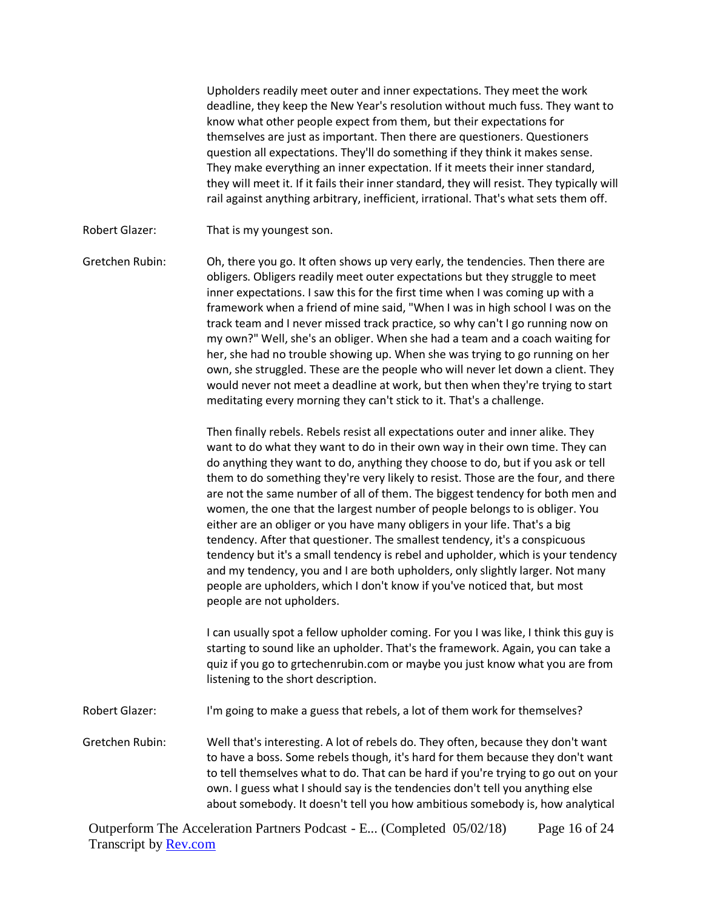Upholders readily meet outer and inner expectations. They meet the work deadline, they keep the New Year's resolution without much fuss. They want to know what other people expect from them, but their expectations for themselves are just as important. Then there are questioners. Questioners question all expectations. They'll do something if they think it makes sense. They make everything an inner expectation. If it meets their inner standard, they will meet it. If it fails their inner standard, they will resist. They typically will rail against anything arbitrary, inefficient, irrational. That's what sets them off.

Robert Glazer: That is my youngest son.

Gretchen Rubin: Oh, there you go. It often shows up very early, the tendencies. Then there are obligers. Obligers readily meet outer expectations but they struggle to meet inner expectations. I saw this for the first time when I was coming up with a framework when a friend of mine said, "When I was in high school I was on the track team and I never missed track practice, so why can't I go running now on my own?" Well, she's an obliger. When she had a team and a coach waiting for her, she had no trouble showing up. When she was trying to go running on her own, she struggled. These are the people who will never let down a client. They would never not meet a deadline at work, but then when they're trying to start meditating every morning they can't stick to it. That's a challenge.

> Then finally rebels. Rebels resist all expectations outer and inner alike. They want to do what they want to do in their own way in their own time. They can do anything they want to do, anything they choose to do, but if you ask or tell them to do something they're very likely to resist. Those are the four, and there are not the same number of all of them. The biggest tendency for both men and women, the one that the largest number of people belongs to is obliger. You either are an obliger or you have many obligers in your life. That's a big tendency. After that questioner. The smallest tendency, it's a conspicuous tendency but it's a small tendency is rebel and upholder, which is your tendency and my tendency, you and I are both upholders, only slightly larger. Not many people are upholders, which I don't know if you've noticed that, but most people are not upholders.

> I can usually spot a fellow upholder coming. For you I was like, I think this guy is starting to sound like an upholder. That's the framework. Again, you can take a quiz if you go to grtechenrubin.com or maybe you just know what you are from listening to the short description.

- Robert Glazer: I'm going to make a guess that rebels, a lot of them work for themselves?
- Gretchen Rubin: Well that's interesting. A lot of rebels do. They often, because they don't want to have a boss. Some rebels though, it's hard for them because they don't want to tell themselves what to do. That can be hard if you're trying to go out on your own. I guess what I should say is the tendencies don't tell you anything else about somebody. It doesn't tell you how ambitious somebody is, how analytical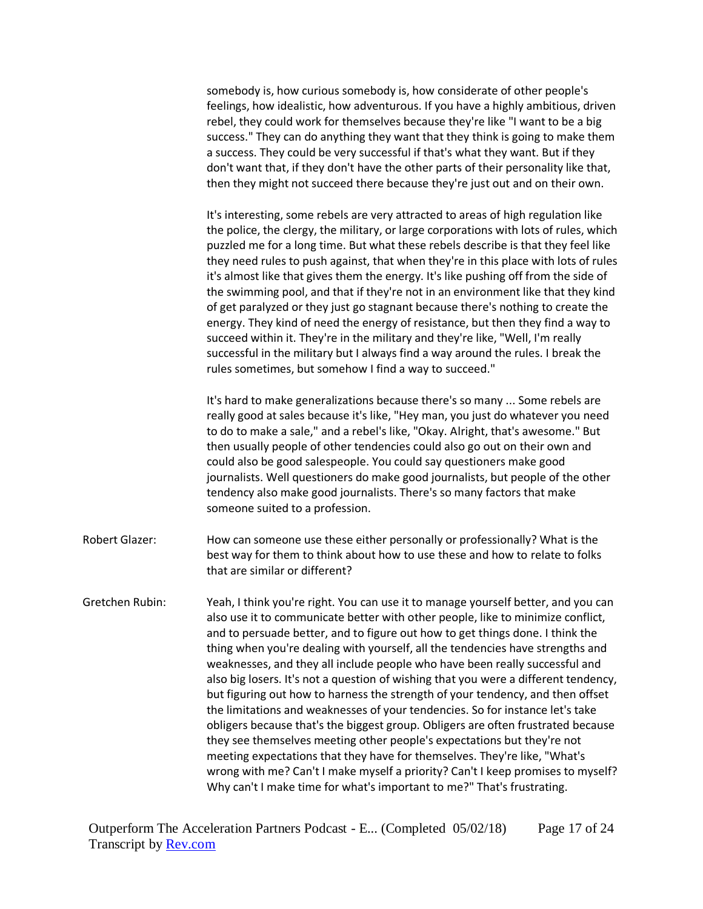somebody is, how curious somebody is, how considerate of other people's feelings, how idealistic, how adventurous. If you have a highly ambitious, driven rebel, they could work for themselves because they're like "I want to be a big success." They can do anything they want that they think is going to make them a success. They could be very successful if that's what they want. But if they don't want that, if they don't have the other parts of their personality like that, then they might not succeed there because they're just out and on their own.

It's interesting, some rebels are very attracted to areas of high regulation like the police, the clergy, the military, or large corporations with lots of rules, which puzzled me for a long time. But what these rebels describe is that they feel like they need rules to push against, that when they're in this place with lots of rules it's almost like that gives them the energy. It's like pushing off from the side of the swimming pool, and that if they're not in an environment like that they kind of get paralyzed or they just go stagnant because there's nothing to create the energy. They kind of need the energy of resistance, but then they find a way to succeed within it. They're in the military and they're like, "Well, I'm really successful in the military but I always find a way around the rules. I break the rules sometimes, but somehow I find a way to succeed."

It's hard to make generalizations because there's so many ... Some rebels are really good at sales because it's like, "Hey man, you just do whatever you need to do to make a sale," and a rebel's like, "Okay. Alright, that's awesome." But then usually people of other tendencies could also go out on their own and could also be good salespeople. You could say questioners make good journalists. Well questioners do make good journalists, but people of the other tendency also make good journalists. There's so many factors that make someone suited to a profession.

- Robert Glazer: How can someone use these either personally or professionally? What is the best way for them to think about how to use these and how to relate to folks that are similar or different?
- Gretchen Rubin: Yeah, I think you're right. You can use it to manage yourself better, and you can also use it to communicate better with other people, like to minimize conflict, and to persuade better, and to figure out how to get things done. I think the thing when you're dealing with yourself, all the tendencies have strengths and weaknesses, and they all include people who have been really successful and also big losers. It's not a question of wishing that you were a different tendency, but figuring out how to harness the strength of your tendency, and then offset the limitations and weaknesses of your tendencies. So for instance let's take obligers because that's the biggest group. Obligers are often frustrated because they see themselves meeting other people's expectations but they're not meeting expectations that they have for themselves. They're like, "What's wrong with me? Can't I make myself a priority? Can't I keep promises to myself? Why can't I make time for what's important to me?" That's frustrating.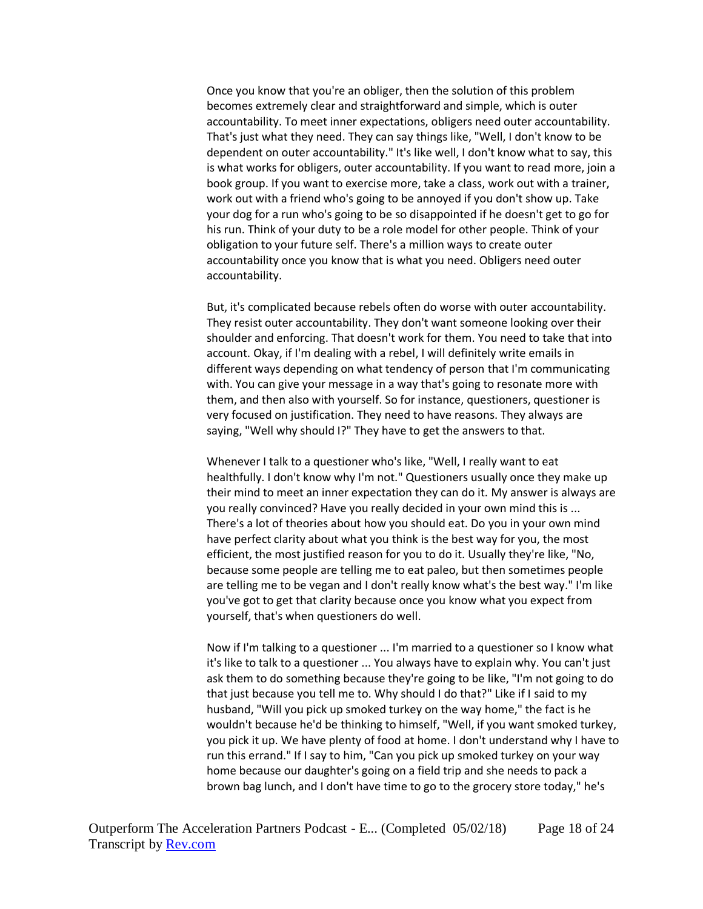Once you know that you're an obliger, then the solution of this problem becomes extremely clear and straightforward and simple, which is outer accountability. To meet inner expectations, obligers need outer accountability. That's just what they need. They can say things like, "Well, I don't know to be dependent on outer accountability." It's like well, I don't know what to say, this is what works for obligers, outer accountability. If you want to read more, join a book group. If you want to exercise more, take a class, work out with a trainer, work out with a friend who's going to be annoyed if you don't show up. Take your dog for a run who's going to be so disappointed if he doesn't get to go for his run. Think of your duty to be a role model for other people. Think of your obligation to your future self. There's a million ways to create outer accountability once you know that is what you need. Obligers need outer accountability.

But, it's complicated because rebels often do worse with outer accountability. They resist outer accountability. They don't want someone looking over their shoulder and enforcing. That doesn't work for them. You need to take that into account. Okay, if I'm dealing with a rebel, I will definitely write emails in different ways depending on what tendency of person that I'm communicating with. You can give your message in a way that's going to resonate more with them, and then also with yourself. So for instance, questioners, questioner is very focused on justification. They need to have reasons. They always are saying, "Well why should I?" They have to get the answers to that.

Whenever I talk to a questioner who's like, "Well, I really want to eat healthfully. I don't know why I'm not." Questioners usually once they make up their mind to meet an inner expectation they can do it. My answer is always are you really convinced? Have you really decided in your own mind this is ... There's a lot of theories about how you should eat. Do you in your own mind have perfect clarity about what you think is the best way for you, the most efficient, the most justified reason for you to do it. Usually they're like, "No, because some people are telling me to eat paleo, but then sometimes people are telling me to be vegan and I don't really know what's the best way." I'm like you've got to get that clarity because once you know what you expect from yourself, that's when questioners do well.

Now if I'm talking to a questioner ... I'm married to a questioner so I know what it's like to talk to a questioner ... You always have to explain why. You can't just ask them to do something because they're going to be like, "I'm not going to do that just because you tell me to. Why should I do that?" Like if I said to my husband, "Will you pick up smoked turkey on the way home," the fact is he wouldn't because he'd be thinking to himself, "Well, if you want smoked turkey, you pick it up. We have plenty of food at home. I don't understand why I have to run this errand." If I say to him, "Can you pick up smoked turkey on your way home because our daughter's going on a field trip and she needs to pack a brown bag lunch, and I don't have time to go to the grocery store today," he's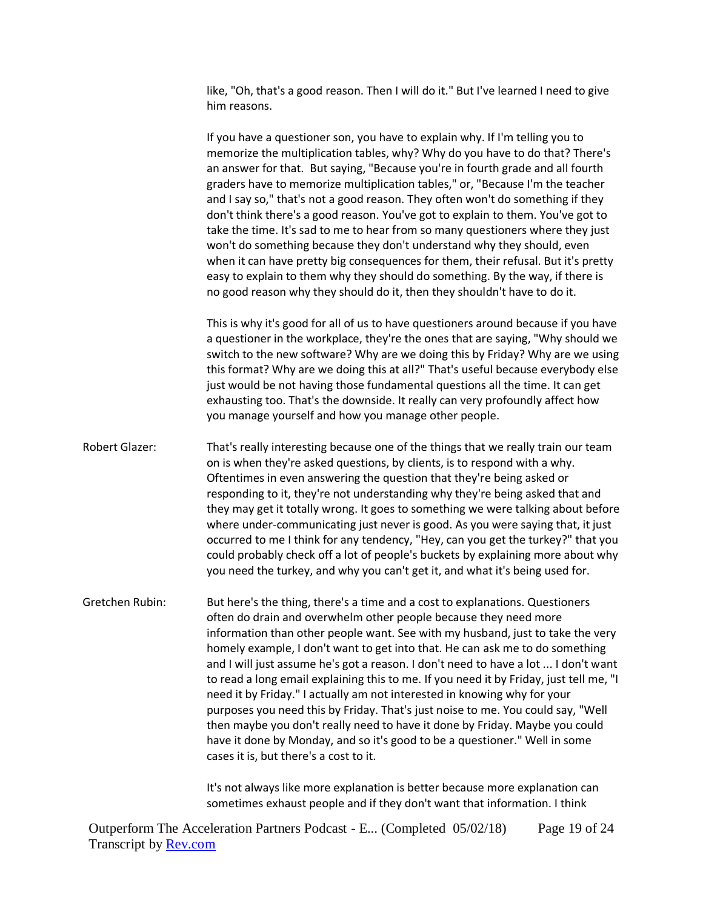like, "Oh, that's a good reason. Then I will do it." But I've learned I need to give him reasons.

If you have a questioner son, you have to explain why. If I'm telling you to memorize the multiplication tables, why? Why do you have to do that? There's an answer for that. But saying, "Because you're in fourth grade and all fourth graders have to memorize multiplication tables," or, "Because I'm the teacher and I say so," that's not a good reason. They often won't do something if they don't think there's a good reason. You've got to explain to them. You've got to take the time. It's sad to me to hear from so many questioners where they just won't do something because they don't understand why they should, even when it can have pretty big consequences for them, their refusal. But it's pretty easy to explain to them why they should do something. By the way, if there is no good reason why they should do it, then they shouldn't have to do it.

This is why it's good for all of us to have questioners around because if you have a questioner in the workplace, they're the ones that are saying, "Why should we switch to the new software? Why are we doing this by Friday? Why are we using this format? Why are we doing this at all?" That's useful because everybody else just would be not having those fundamental questions all the time. It can get exhausting too. That's the downside. It really can very profoundly affect how you manage yourself and how you manage other people.

Robert Glazer: That's really interesting because one of the things that we really train our team on is when they're asked questions, by clients, is to respond with a why. Oftentimes in even answering the question that they're being asked or responding to it, they're not understanding why they're being asked that and they may get it totally wrong. It goes to something we were talking about before where under-communicating just never is good. As you were saying that, it just occurred to me I think for any tendency, "Hey, can you get the turkey?" that you could probably check off a lot of people's buckets by explaining more about why you need the turkey, and why you can't get it, and what it's being used for.

Gretchen Rubin: But here's the thing, there's a time and a cost to explanations. Questioners often do drain and overwhelm other people because they need more information than other people want. See with my husband, just to take the very homely example, I don't want to get into that. He can ask me to do something and I will just assume he's got a reason. I don't need to have a lot ... I don't want to read a long email explaining this to me. If you need it by Friday, just tell me, "I need it by Friday." I actually am not interested in knowing why for your purposes you need this by Friday. That's just noise to me. You could say, "Well then maybe you don't really need to have it done by Friday. Maybe you could have it done by Monday, and so it's good to be a questioner." Well in some cases it is, but there's a cost to it.

> It's not always like more explanation is better because more explanation can sometimes exhaust people and if they don't want that information. I think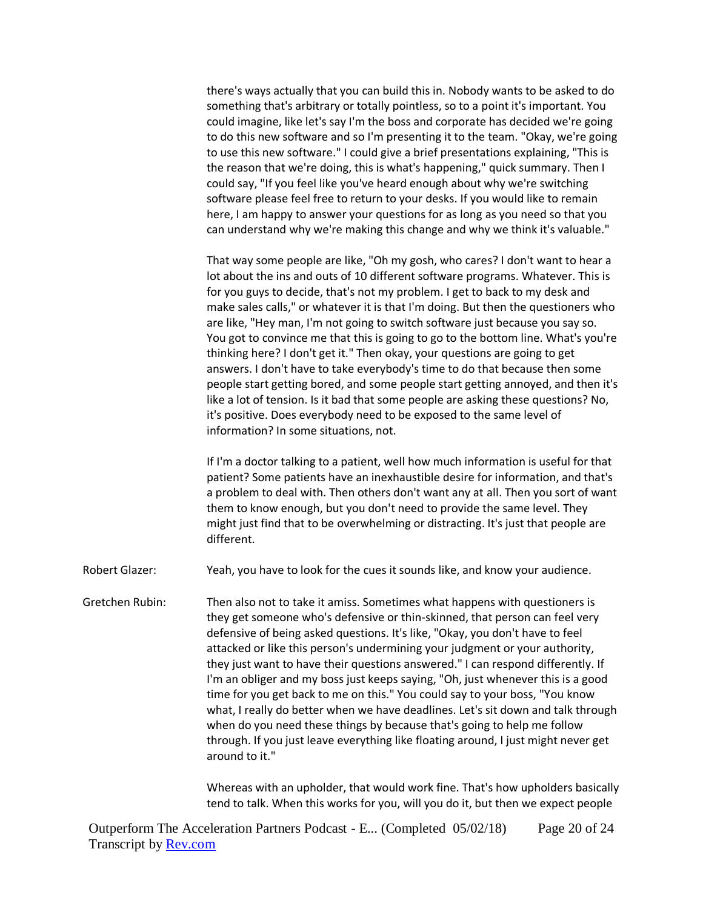there's ways actually that you can build this in. Nobody wants to be asked to do something that's arbitrary or totally pointless, so to a point it's important. You could imagine, like let's say I'm the boss and corporate has decided we're going to do this new software and so I'm presenting it to the team. "Okay, we're going to use this new software." I could give a brief presentations explaining, "This is the reason that we're doing, this is what's happening," quick summary. Then I could say, "If you feel like you've heard enough about why we're switching software please feel free to return to your desks. If you would like to remain here, I am happy to answer your questions for as long as you need so that you can understand why we're making this change and why we think it's valuable."

That way some people are like, "Oh my gosh, who cares? I don't want to hear a lot about the ins and outs of 10 different software programs. Whatever. This is for you guys to decide, that's not my problem. I get to back to my desk and make sales calls," or whatever it is that I'm doing. But then the questioners who are like, "Hey man, I'm not going to switch software just because you say so. You got to convince me that this is going to go to the bottom line. What's you're thinking here? I don't get it." Then okay, your questions are going to get answers. I don't have to take everybody's time to do that because then some people start getting bored, and some people start getting annoyed, and then it's like a lot of tension. Is it bad that some people are asking these questions? No, it's positive. Does everybody need to be exposed to the same level of information? In some situations, not.

If I'm a doctor talking to a patient, well how much information is useful for that patient? Some patients have an inexhaustible desire for information, and that's a problem to deal with. Then others don't want any at all. Then you sort of want them to know enough, but you don't need to provide the same level. They might just find that to be overwhelming or distracting. It's just that people are different.

Robert Glazer: Yeah, you have to look for the cues it sounds like, and know your audience.

Gretchen Rubin: Then also not to take it amiss. Sometimes what happens with questioners is they get someone who's defensive or thin-skinned, that person can feel very defensive of being asked questions. It's like, "Okay, you don't have to feel attacked or like this person's undermining your judgment or your authority, they just want to have their questions answered." I can respond differently. If I'm an obliger and my boss just keeps saying, "Oh, just whenever this is a good time for you get back to me on this." You could say to your boss, "You know what, I really do better when we have deadlines. Let's sit down and talk through when do you need these things by because that's going to help me follow through. If you just leave everything like floating around, I just might never get around to it."

> Whereas with an upholder, that would work fine. That's how upholders basically tend to talk. When this works for you, will you do it, but then we expect people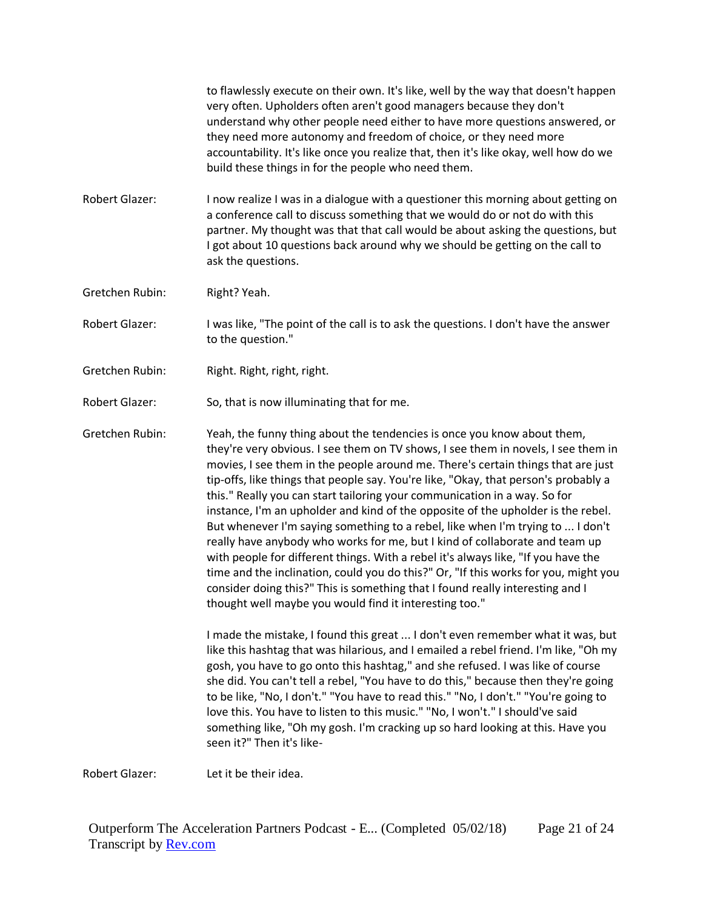to flawlessly execute on their own. It's like, well by the way that doesn't happen very often. Upholders often aren't good managers because they don't understand why other people need either to have more questions answered, or they need more autonomy and freedom of choice, or they need more accountability. It's like once you realize that, then it's like okay, well how do we build these things in for the people who need them.

- Robert Glazer: I now realize I was in a dialogue with a questioner this morning about getting on a conference call to discuss something that we would do or not do with this partner. My thought was that that call would be about asking the questions, but I got about 10 questions back around why we should be getting on the call to ask the questions.
- Gretchen Rubin: Right? Yeah.
- Robert Glazer: I was like, "The point of the call is to ask the questions. I don't have the answer to the question."
- Gretchen Rubin: Right. Right, right, right.
- Robert Glazer: So, that is now illuminating that for me.

Gretchen Rubin: Yeah, the funny thing about the tendencies is once you know about them, they're very obvious. I see them on TV shows, I see them in novels, I see them in movies, I see them in the people around me. There's certain things that are just tip-offs, like things that people say. You're like, "Okay, that person's probably a this." Really you can start tailoring your communication in a way. So for instance, I'm an upholder and kind of the opposite of the upholder is the rebel. But whenever I'm saying something to a rebel, like when I'm trying to ... I don't really have anybody who works for me, but I kind of collaborate and team up with people for different things. With a rebel it's always like, "If you have the time and the inclination, could you do this?" Or, "If this works for you, might you consider doing this?" This is something that I found really interesting and I thought well maybe you would find it interesting too."

> I made the mistake, I found this great ... I don't even remember what it was, but like this hashtag that was hilarious, and I emailed a rebel friend. I'm like, "Oh my gosh, you have to go onto this hashtag," and she refused. I was like of course she did. You can't tell a rebel, "You have to do this," because then they're going to be like, "No, I don't." "You have to read this." "No, I don't." "You're going to love this. You have to listen to this music." "No, I won't." I should've said something like, "Oh my gosh. I'm cracking up so hard looking at this. Have you seen it?" Then it's like-

Robert Glazer: Let it be their idea.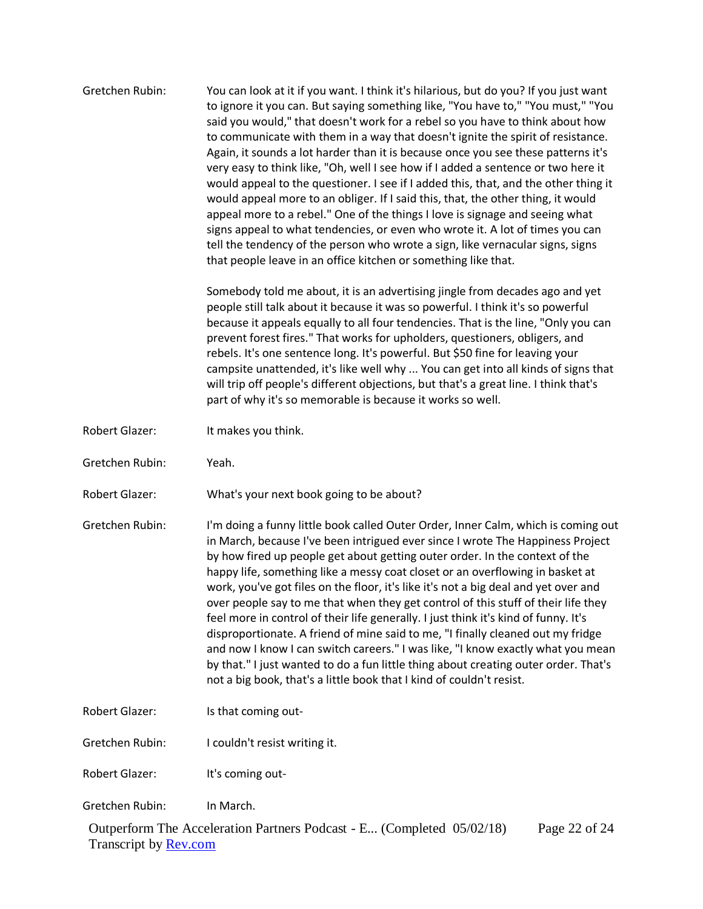| Gretchen Rubin:       | You can look at it if you want. I think it's hilarious, but do you? If you just want<br>to ignore it you can. But saying something like, "You have to," "You must," "You<br>said you would," that doesn't work for a rebel so you have to think about how<br>to communicate with them in a way that doesn't ignite the spirit of resistance.<br>Again, it sounds a lot harder than it is because once you see these patterns it's<br>very easy to think like, "Oh, well I see how if I added a sentence or two here it<br>would appeal to the questioner. I see if I added this, that, and the other thing it<br>would appeal more to an obliger. If I said this, that, the other thing, it would<br>appeal more to a rebel." One of the things I love is signage and seeing what<br>signs appeal to what tendencies, or even who wrote it. A lot of times you can<br>tell the tendency of the person who wrote a sign, like vernacular signs, signs<br>that people leave in an office kitchen or something like that. |
|-----------------------|------------------------------------------------------------------------------------------------------------------------------------------------------------------------------------------------------------------------------------------------------------------------------------------------------------------------------------------------------------------------------------------------------------------------------------------------------------------------------------------------------------------------------------------------------------------------------------------------------------------------------------------------------------------------------------------------------------------------------------------------------------------------------------------------------------------------------------------------------------------------------------------------------------------------------------------------------------------------------------------------------------------------|
|                       | Somebody told me about, it is an advertising jingle from decades ago and yet<br>people still talk about it because it was so powerful. I think it's so powerful<br>because it appeals equally to all four tendencies. That is the line, "Only you can<br>prevent forest fires." That works for upholders, questioners, obligers, and<br>rebels. It's one sentence long. It's powerful. But \$50 fine for leaving your<br>campsite unattended, it's like well why  You can get into all kinds of signs that<br>will trip off people's different objections, but that's a great line. I think that's<br>part of why it's so memorable is because it works so well.                                                                                                                                                                                                                                                                                                                                                       |
| Robert Glazer:        | It makes you think.                                                                                                                                                                                                                                                                                                                                                                                                                                                                                                                                                                                                                                                                                                                                                                                                                                                                                                                                                                                                    |
| Gretchen Rubin:       | Yeah.                                                                                                                                                                                                                                                                                                                                                                                                                                                                                                                                                                                                                                                                                                                                                                                                                                                                                                                                                                                                                  |
| Robert Glazer:        | What's your next book going to be about?                                                                                                                                                                                                                                                                                                                                                                                                                                                                                                                                                                                                                                                                                                                                                                                                                                                                                                                                                                               |
| Gretchen Rubin:       | I'm doing a funny little book called Outer Order, Inner Calm, which is coming out<br>in March, because I've been intrigued ever since I wrote The Happiness Project<br>by how fired up people get about getting outer order. In the context of the<br>happy life, something like a messy coat closet or an overflowing in basket at<br>work, you've got files on the floor, it's like it's not a big deal and yet over and<br>over people say to me that when they get control of this stuff of their life they<br>feel more in control of their life generally. I just think it's kind of funny. It's<br>disproportionate. A friend of mine said to me, "I finally cleaned out my fridge<br>and now I know I can switch careers." I was like, "I know exactly what you mean<br>by that." I just wanted to do a fun little thing about creating outer order. That's<br>not a big book, that's a little book that I kind of couldn't resist.                                                                            |
| <b>Robert Glazer:</b> | Is that coming out-                                                                                                                                                                                                                                                                                                                                                                                                                                                                                                                                                                                                                                                                                                                                                                                                                                                                                                                                                                                                    |
| Gretchen Rubin:       | I couldn't resist writing it.                                                                                                                                                                                                                                                                                                                                                                                                                                                                                                                                                                                                                                                                                                                                                                                                                                                                                                                                                                                          |
| <b>Robert Glazer:</b> | It's coming out-                                                                                                                                                                                                                                                                                                                                                                                                                                                                                                                                                                                                                                                                                                                                                                                                                                                                                                                                                                                                       |
| Gretchen Rubin:       | In March.<br>Outperform The Acceleration Partners Podcast - E (Completed 05/02/18)<br>Page 22 of 24                                                                                                                                                                                                                                                                                                                                                                                                                                                                                                                                                                                                                                                                                                                                                                                                                                                                                                                    |
|                       |                                                                                                                                                                                                                                                                                                                                                                                                                                                                                                                                                                                                                                                                                                                                                                                                                                                                                                                                                                                                                        |

Transcript by **Rev.com**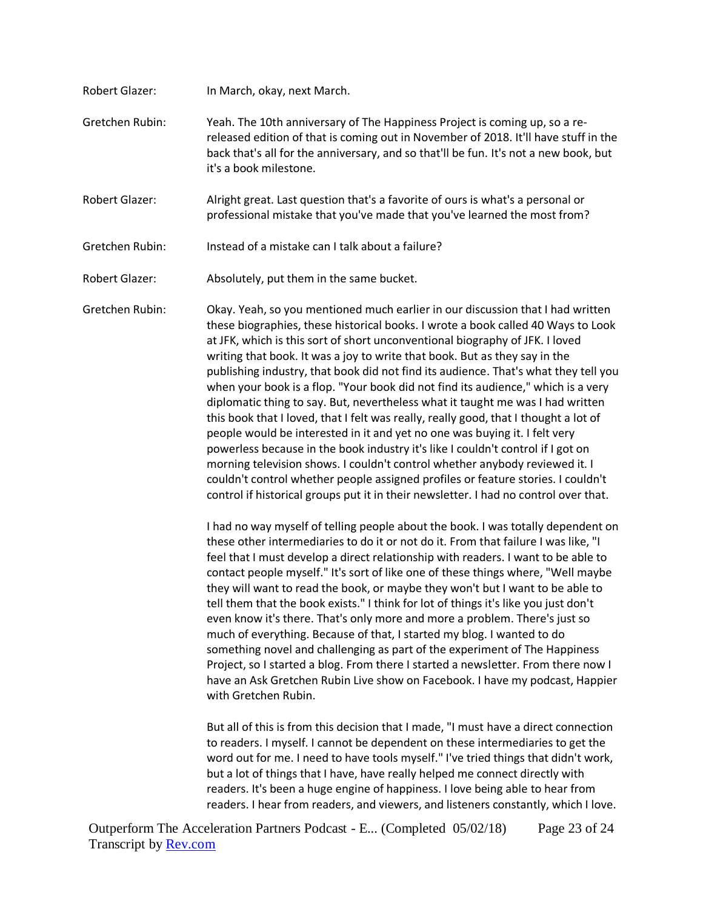- Robert Glazer: In March, okay, next March. Gretchen Rubin: Yeah. The 10th anniversary of The Happiness Project is coming up, so a rereleased edition of that is coming out in November of 2018. It'll have stuff in the back that's all for the anniversary, and so that'll be fun. It's not a new book, but it's a book milestone. Robert Glazer: Alright great. Last question that's a favorite of ours is what's a personal or
- professional mistake that you've made that you've learned the most from?
- Gretchen Rubin: Instead of a mistake can I talk about a failure?
- Robert Glazer: Absolutely, put them in the same bucket.

Gretchen Rubin: Okay. Yeah, so you mentioned much earlier in our discussion that I had written these biographies, these historical books. I wrote a book called 40 Ways to Look at JFK, which is this sort of short unconventional biography of JFK. I loved writing that book. It was a joy to write that book. But as they say in the publishing industry, that book did not find its audience. That's what they tell you when your book is a flop. "Your book did not find its audience," which is a very diplomatic thing to say. But, nevertheless what it taught me was I had written this book that I loved, that I felt was really, really good, that I thought a lot of people would be interested in it and yet no one was buying it. I felt very powerless because in the book industry it's like I couldn't control if I got on morning television shows. I couldn't control whether anybody reviewed it. I couldn't control whether people assigned profiles or feature stories. I couldn't control if historical groups put it in their newsletter. I had no control over that.

> I had no way myself of telling people about the book. I was totally dependent on these other intermediaries to do it or not do it. From that failure I was like, "I feel that I must develop a direct relationship with readers. I want to be able to contact people myself." It's sort of like one of these things where, "Well maybe they will want to read the book, or maybe they won't but I want to be able to tell them that the book exists." I think for lot of things it's like you just don't even know it's there. That's only more and more a problem. There's just so much of everything. Because of that, I started my blog. I wanted to do something novel and challenging as part of the experiment of The Happiness Project, so I started a blog. From there I started a newsletter. From there now I have an Ask Gretchen Rubin Live show on Facebook. I have my podcast, Happier with Gretchen Rubin.

But all of this is from this decision that I made, "I must have a direct connection to readers. I myself. I cannot be dependent on these intermediaries to get the word out for me. I need to have tools myself." I've tried things that didn't work, but a lot of things that I have, have really helped me connect directly with readers. It's been a huge engine of happiness. I love being able to hear from readers. I hear from readers, and viewers, and listeners constantly, which I love.